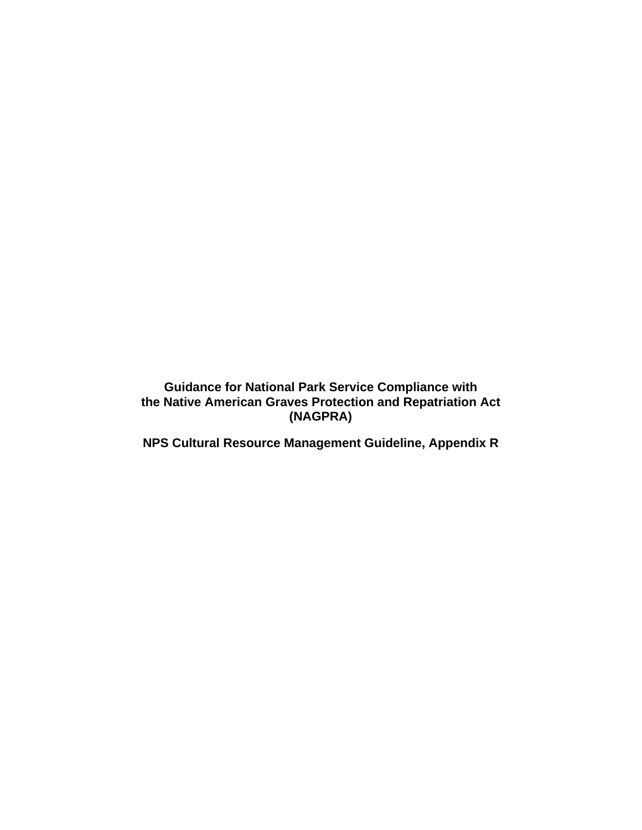**Guidance for National Park Service Compliance with the Native American Graves Protection and Repatriation Act (NAGPRA)** 

**NPS Cultural Resource Management Guideline, Appendix R**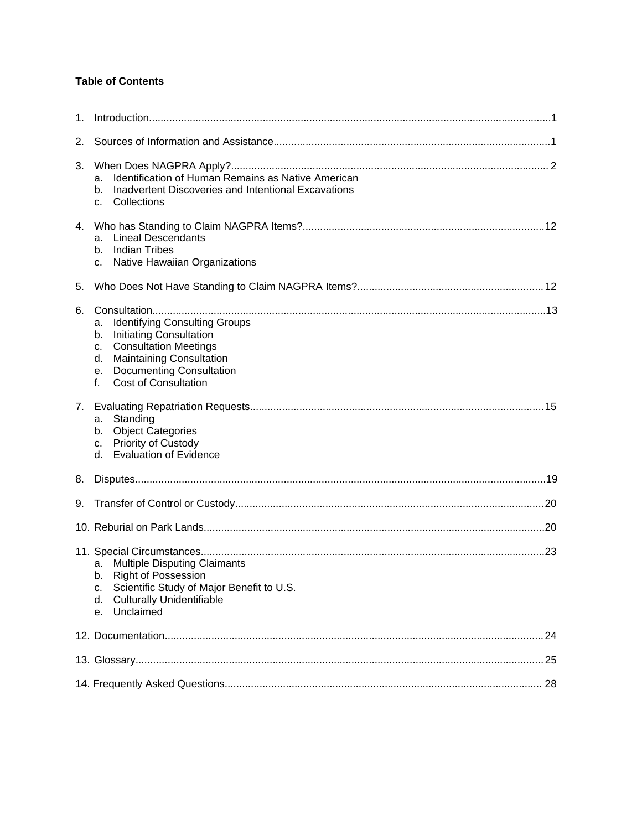# **Table of Contents**

| $\mathbf 1$ . |                                                                                                                                                                                                                                          |  |  |  |  |
|---------------|------------------------------------------------------------------------------------------------------------------------------------------------------------------------------------------------------------------------------------------|--|--|--|--|
| 2.            |                                                                                                                                                                                                                                          |  |  |  |  |
| 3.            | Identification of Human Remains as Native American<br>a.<br>Inadvertent Discoveries and Intentional Excavations<br>b.<br>Collections<br>$C_{-}$                                                                                          |  |  |  |  |
| 4.            | <b>Lineal Descendants</b><br>a.<br><b>Indian Tribes</b><br>b.<br>Native Hawaiian Organizations<br>C.                                                                                                                                     |  |  |  |  |
| 5.            |                                                                                                                                                                                                                                          |  |  |  |  |
| 6.            | <b>Identifying Consulting Groups</b><br>a.<br>Initiating Consultation<br>b.<br><b>Consultation Meetings</b><br>C.<br><b>Maintaining Consultation</b><br>d.<br><b>Documenting Consultation</b><br>е.<br><b>Cost of Consultation</b><br>f. |  |  |  |  |
|               | Standing<br>a.<br><b>Object Categories</b><br>b.<br>Priority of Custody<br>C.<br>d. Evaluation of Evidence                                                                                                                               |  |  |  |  |
| 8.            |                                                                                                                                                                                                                                          |  |  |  |  |
| 9.            |                                                                                                                                                                                                                                          |  |  |  |  |
|               |                                                                                                                                                                                                                                          |  |  |  |  |
|               | <b>Multiple Disputing Claimants</b><br>a.<br><b>Right of Possession</b><br>b.<br>Scientific Study of Major Benefit to U.S.<br>c.<br><b>Culturally Unidentifiable</b><br>d.<br>Unclaimed<br>е.                                            |  |  |  |  |
|               | 24                                                                                                                                                                                                                                       |  |  |  |  |
|               |                                                                                                                                                                                                                                          |  |  |  |  |
|               |                                                                                                                                                                                                                                          |  |  |  |  |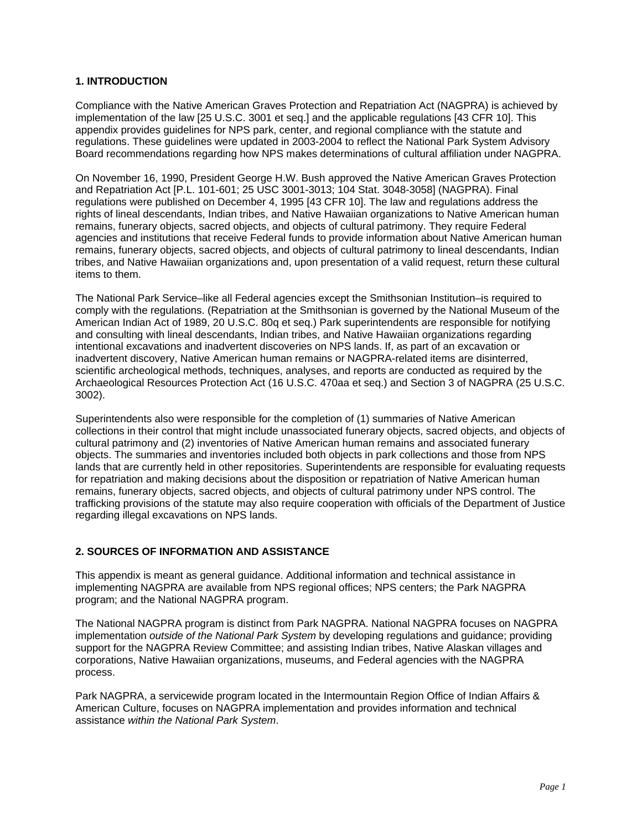# <span id="page-2-0"></span>**1. INTRODUCTION**

Compliance with the Native American Graves Protection and Repatriation Act (NAGPRA) is achieved by implementation of the law [\[25 U.S.C. 3001 et seq.\]](http://www.cr.nps.gov/local-law/FHPL_NAGPRA.pdf) and the applicable regulations [\[43 CFR 10\]](http://www.cr.nps.gov/nagpra/MANDATES/43_CFR_10_10-1-03.pdf). This appendix provides guidelines for NPS park, center, and regional compliance with the statute and regulations. These guidelines were updated in 2003-2004 to reflect the National Park System Advisory Board recommendations regarding how NPS makes determinations of cultural affiliation under NAGPRA.

On November 16, 1990, President George H.W. Bush approved the Native American Graves Protection and Repatriation Act [P.L. 101-601; 25 USC 3001-3013; 104 Stat. 3048-3058] (NAGPRA). Final regulations were published on December 4, 1995 [43 CFR 10]. The law and regulations address the rights of lineal descendants, Indian tribes, and Native Hawaiian organizations to Native American human remains, funerary objects, sacred objects, and objects of cultural patrimony. They require Federal agencies and institutions that receive Federal funds to provide information about Native American human remains, funerary objects, sacred objects, and objects of cultural patrimony to lineal descendants, Indian tribes, and Native Hawaiian organizations and, upon presentation of a valid request, return these cultural items to them.

The National Park Service–like all Federal agencies except the Smithsonian Institution–is required to [comply with the regulations. \(Repatriation at the Smithsonian is governed by the National Museum of the](http://www.nmnh.si.edu/anthro/repatriation/pdf/nmai_act.pdf)  American Indian Act of 1989, 20 U.S.C. 80q et seq.) Park superintendents are responsible for notifying and consulting with lineal descendants, Indian tribes, and Native Hawaiian organizations regarding intentional excavations and inadvertent discoveries on NPS lands. If, as part of an excavation or inadvertent discovery, Native American human remains or NAGPRA-related items are disinterred, scientific archeological methods, techniques, analyses, and reports are conducted as required by the Archaeological Resources Protection Act [\(16 U.S.C. 470aa et seq.\)](http://www.cr.nps.gov/local-law/FHPL_ArchRsrcsProt.pdf) and Section 3 of NAGPRA (25 U.S.C. 3002).

Superintendents also were responsible for the completion of (1) summaries of Native American collections in their control that might include unassociated funerary objects, sacred objects, and objects of cultural patrimony and (2) inventories of Native American human remains and associated funerary objects. The summaries and inventories included both objects in park collections and those from NPS lands that are currently held in other repositories. Superintendents are responsible for evaluating requests for repatriation and making decisions about the disposition or repatriation of Native American human remains, funerary objects, sacred objects, and objects of cultural patrimony under NPS control. The trafficking provisions of the statute may also require cooperation with officials of the Department of Justice regarding illegal excavations on NPS lands.

# **2. SOURCES OF INFORMATION AND ASSISTANCE**

This appendix is meant as general guidance. Additional information and technical assistance in implementing NAGPRA are available from NPS regional offices; NPS centers; the Park NAGPRA program; and the National NAGPRA program.

The National NAGPRA program is distinct from Park NAGPRA. National NAGPRA focuses on NAGPRA implementation *outside of the National Park System* by developing regulations and guidance; providing support for the NAGPRA Review Committee; and assisting Indian tribes, Native Alaskan villages and corporations, Native Hawaiian organizations, museums, and Federal agencies with the NAGPRA process.

Park NAGPRA, a servicewide program located in the Intermountain Region Office of Indian Affairs & American Culture, focuses on NAGPRA implementation and provides information and technical assistance *within the National Park System*.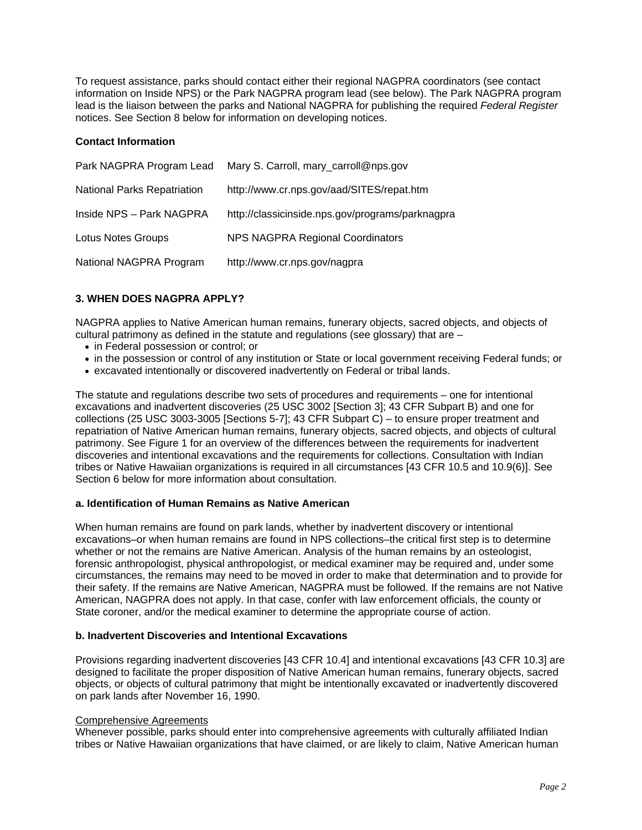<span id="page-3-0"></span>To request assistance, parks should contact either their regional NAGPRA coordinators (see contact information on Inside NPS) or the Park NAGPRA program lead (see below). The Park NAGPRA program lead is the liaison between the parks and National NAGPRA for publishing the required *Federal Register* notices. See Section 8 below for information on developing notices.

# **Contact Information**

| Park NAGPRA Program Lead           | Mary S. Carroll, mary_carroll@nps.gov            |
|------------------------------------|--------------------------------------------------|
| <b>National Parks Repatriation</b> | http://www.cr.nps.gov/aad/SITES/repat.htm        |
| Inside NPS - Park NAGPRA           | http://classicinside.nps.gov/programs/parknagpra |
| Lotus Notes Groups                 | <b>NPS NAGPRA Regional Coordinators</b>          |
| National NAGPRA Program            | http://www.cr.nps.gov/nagpra                     |

# **3. WHEN DOES NAGPRA APPLY?**

NAGPRA applies to Native American human remains, funerary objects, sacred objects, and objects of cultural patrimony as defined in the statute and regulations (see glossary) that are –

- in Federal possession or control; or
- in the possession or control of any institution or State or local government receiving Federal funds; or
- excavated intentionally or discovered inadvertently on Federal or tribal lands.

The statute and regulations describe two sets of procedures and requirements – one for intentional excavations and inadvertent discoveries (25 USC 3002 [Section 3]; 43 CFR Subpart B) and one for collections (25 USC 3003-3005 [Sections 5-7]; 43 CFR Subpart C) – to ensure proper treatment and repatriation of Native American human remains, funerary objects, sacred objects, and objects of cultural patrimony. See [Figure 1](#page-4-0) for an overview of the differences between the requirements for inadvertent discoveries and intentional excavations and the requirements for collections. Consultation with Indian tribes or Native Hawaiian organizations is required in all circumstances [43 CFR 10.5 and 10.9(6)]. See [Section 6](#page-14-0) below for more information about consultation.

# **a. Identification of Human Remains as Native American**

When human remains are found on park lands, whether by inadvertent discovery or intentional excavations–or when human remains are found in NPS collections–the critical first step is to determine whether or not the remains are Native American. Analysis of the human remains by an osteologist, forensic anthropologist, physical anthropologist, or medical examiner may be required and, under some circumstances, the remains may need to be moved in order to make that determination and to provide for their safety. If the remains are Native American, NAGPRA must be followed. If the remains are not Native American, NAGPRA does not apply. In that case, confer with law enforcement officials, the county or State coroner, and/or the medical examiner to determine the appropriate course of action.

#### **b. Inadvertent Discoveries and Intentional Excavations**

Provisions regarding inadvertent discoveries [43 CFR 10.4] and intentional excavations [43 CFR 10.3] are designed to facilitate the proper disposition of Native American human remains, funerary objects, sacred objects, or objects of cultural patrimony that might be intentionally excavated or inadvertently discovered on park lands after November 16, 1990.

#### Comprehensive Agreements

Whenever possible, parks should enter into comprehensive agreements with culturally affiliated Indian tribes or Native Hawaiian organizations that have claimed, or are likely to claim, Native American human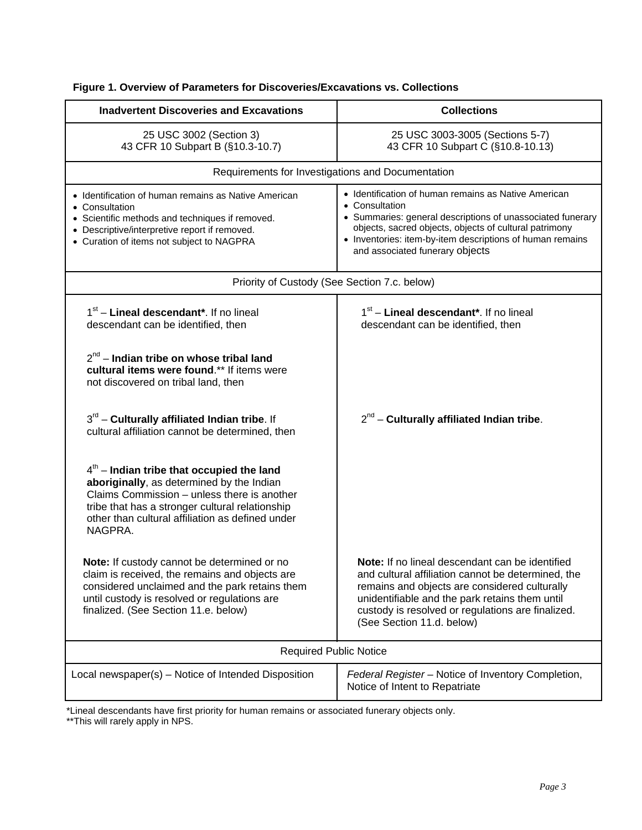| <b>Inadvertent Discoveries and Excavations</b>                                                                                                                                                                                                            | <b>Collections</b>                                                                                                                                                                                                                                                                             |  |  |  |  |  |
|-----------------------------------------------------------------------------------------------------------------------------------------------------------------------------------------------------------------------------------------------------------|------------------------------------------------------------------------------------------------------------------------------------------------------------------------------------------------------------------------------------------------------------------------------------------------|--|--|--|--|--|
| 25 USC 3002 (Section 3)<br>43 CFR 10 Subpart B (§10.3-10.7)                                                                                                                                                                                               | 25 USC 3003-3005 (Sections 5-7)<br>43 CFR 10 Subpart C (§10.8-10.13)                                                                                                                                                                                                                           |  |  |  |  |  |
| Requirements for Investigations and Documentation                                                                                                                                                                                                         |                                                                                                                                                                                                                                                                                                |  |  |  |  |  |
| • Identification of human remains as Native American<br>• Consultation<br>• Scientific methods and techniques if removed.<br>• Descriptive/interpretive report if removed.<br>• Curation of items not subject to NAGPRA                                   | • Identification of human remains as Native American<br>• Consultation<br>• Summaries: general descriptions of unassociated funerary<br>objects, sacred objects, objects of cultural patrimony<br>• Inventories: item-by-item descriptions of human remains<br>and associated funerary objects |  |  |  |  |  |
| Priority of Custody (See Section 7.c. below)                                                                                                                                                                                                              |                                                                                                                                                                                                                                                                                                |  |  |  |  |  |
| 1 <sup>st</sup> – Lineal descendant <sup>*</sup> . If no lineal<br>descendant can be identified, then                                                                                                                                                     | 1 <sup>st</sup> – Lineal descendant <sup>*</sup> . If no lineal<br>descendant can be identified, then                                                                                                                                                                                          |  |  |  |  |  |
| $2^{nd}$ – Indian tribe on whose tribal land<br>cultural items were found.** If items were<br>not discovered on tribal land, then                                                                                                                         |                                                                                                                                                                                                                                                                                                |  |  |  |  |  |
| $3rd$ – Culturally affiliated Indian tribe. If<br>cultural affiliation cannot be determined, then                                                                                                                                                         | $2^{nd}$ – Culturally affiliated Indian tribe.                                                                                                                                                                                                                                                 |  |  |  |  |  |
| $4th$ – Indian tribe that occupied the land<br>aboriginally, as determined by the Indian<br>Claims Commission – unless there is another<br>tribe that has a stronger cultural relationship<br>other than cultural affiliation as defined under<br>NAGPRA. |                                                                                                                                                                                                                                                                                                |  |  |  |  |  |
| Note: If custody cannot be determined or no<br>claim is received, the remains and objects are<br>considered unclaimed and the park retains them<br>until custody is resolved or regulations are<br>finalized. (See Section 11.e. below)                   | Note: If no lineal descendant can be identified<br>and cultural affiliation cannot be determined, the<br>remains and objects are considered culturally<br>unidentifiable and the park retains them until<br>custody is resolved or regulations are finalized.<br>(See Section 11.d. below)     |  |  |  |  |  |
| <b>Required Public Notice</b>                                                                                                                                                                                                                             |                                                                                                                                                                                                                                                                                                |  |  |  |  |  |
| Local newspaper(s) - Notice of Intended Disposition                                                                                                                                                                                                       | Federal Register - Notice of Inventory Completion,<br>Notice of Intent to Repatriate                                                                                                                                                                                                           |  |  |  |  |  |

# <span id="page-4-0"></span>**Figure 1. Overview of Parameters for Discoveries/Excavations vs. Collections**

\*Lineal descendants have first priority for human remains or associated funerary objects only.

\*\*This will rarely apply in NPS.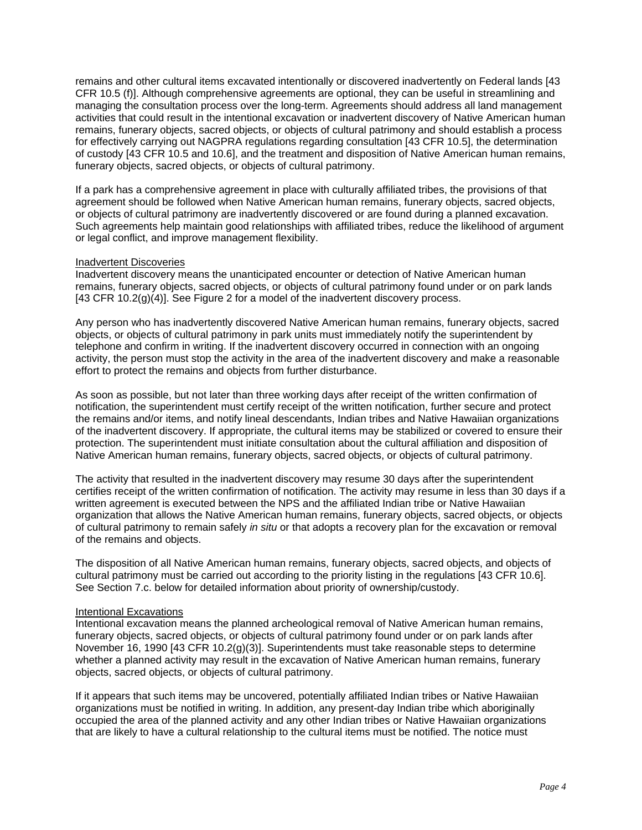remains and other cultural items excavated intentionally or discovered inadvertently on Federal lands [43 CFR 10.5 (f)]. Although comprehensive agreements are optional, they can be useful in streamlining and managing the consultation process over the long-term. Agreements should address all land management activities that could result in the intentional excavation or inadvertent discovery of Native American human remains, funerary objects, sacred objects, or objects of cultural patrimony and should establish a process for effectively carrying out NAGPRA regulations regarding consultation [43 CFR 10.5], the determination of custody [43 CFR 10.5 and 10.6], and the treatment and disposition of Native American human remains, funerary objects, sacred objects, or objects of cultural patrimony.

If a park has a comprehensive agreement in place with culturally affiliated tribes, the provisions of that agreement should be followed when Native American human remains, funerary objects, sacred objects, or objects of cultural patrimony are inadvertently discovered or are found during a planned excavation. Such agreements help maintain good relationships with affiliated tribes, reduce the likelihood of argument or legal conflict, and improve management flexibility.

#### Inadvertent Discoveries

Inadvertent discovery means the unanticipated encounter or detection of Native American human remains, funerary objects, sacred objects, or objects of cultural patrimony found under or on park lands [43 CFR 10.2(g)(4)]. See [Figure 2](#page-6-0) for a model of the inadvertent discovery process.

Any person who has inadvertently discovered Native American human remains, funerary objects, sacred objects, or objects of cultural patrimony in park units must immediately notify the superintendent by telephone and confirm in writing. If the inadvertent discovery occurred in connection with an ongoing activity, the person must stop the activity in the area of the inadvertent discovery and make a reasonable effort to protect the remains and objects from further disturbance.

As soon as possible, but not later than three working days after receipt of the written confirmation of notification, the superintendent must certify receipt of the written notification, further secure and protect the remains and/or items, and notify lineal descendants, Indian tribes and Native Hawaiian organizations of the inadvertent discovery. If appropriate, the cultural items may be stabilized or covered to ensure their protection. The superintendent must initiate consultation about the cultural affiliation and disposition of Native American human remains, funerary objects, sacred objects, or objects of cultural patrimony.

The activity that resulted in the inadvertent discovery may resume 30 days after the superintendent certifies receipt of the written confirmation of notification. The activity may resume in less than 30 days if a written agreement is executed between the NPS and the affiliated Indian tribe or Native Hawaiian organization that allows the Native American human remains, funerary objects, sacred objects, or objects of cultural patrimony to remain safely *in situ* or that adopts a recovery plan for the excavation or removal of the remains and objects.

The disposition of all Native American human remains, funerary objects, sacred objects, and objects of cultural patrimony must be carried out according to the priority listing in the regulations [43 CFR 10.6]. See [Section 7.c.](#page-17-0) below for detailed information about priority of ownership/custody.

#### Intentional Excavations

Intentional excavation means the planned archeological removal of Native American human remains, funerary objects, sacred objects, or objects of cultural patrimony found under or on park lands after November 16, 1990 [43 CFR 10.2(g)(3)]. Superintendents must take reasonable steps to determine whether a planned activity may result in the excavation of Native American human remains, funerary objects, sacred objects, or objects of cultural patrimony.

If it appears that such items may be uncovered, potentially affiliated Indian tribes or Native Hawaiian organizations must be notified in writing. In addition, any present-day Indian tribe which aboriginally occupied the area of the planned activity and any other Indian tribes or Native Hawaiian organizations that are likely to have a cultural relationship to the cultural items must be notified. The notice must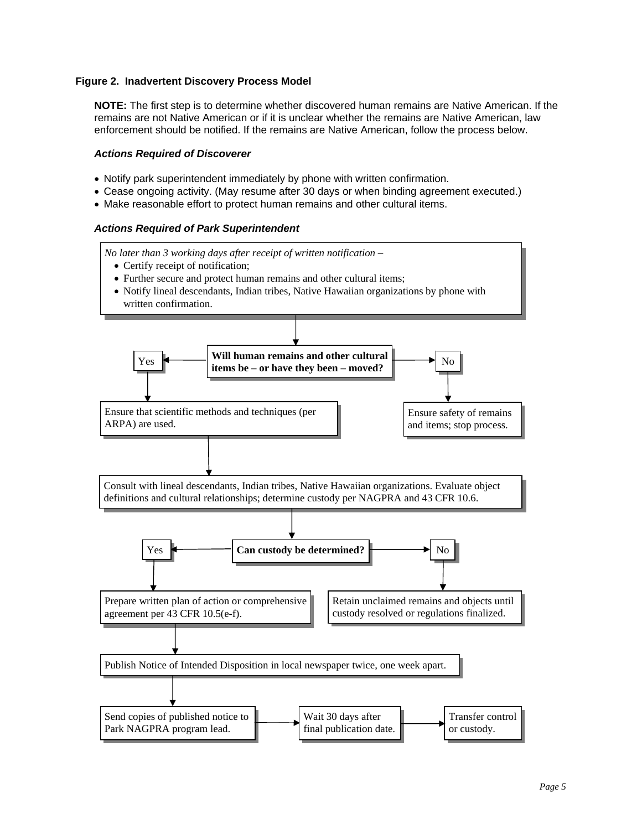# <span id="page-6-0"></span>**Figure 2. Inadvertent Discovery Process Model**

**NOTE:** The first step is to determine whether discovered human remains are Native American. If the remains are not Native American or if it is unclear whether the remains are Native American, law enforcement should be notified. If the remains are Native American, follow the process below.

#### *Actions Required of Discoverer*

- Notify park superintendent immediately by phone with written confirmation.
- Cease ongoing activity. (May resume after 30 days or when binding agreement executed.)
- Make reasonable effort to protect human remains and other cultural items.

#### *Actions Required of Park Superintendent*

*No later than 3 working days after receipt of written notification –* 

- Certify receipt of notification;
- Further secure and protect human remains and other cultural items;
- Notify lineal descendants, Indian tribes, Native Hawaiian organizations by phone with written confirmation.

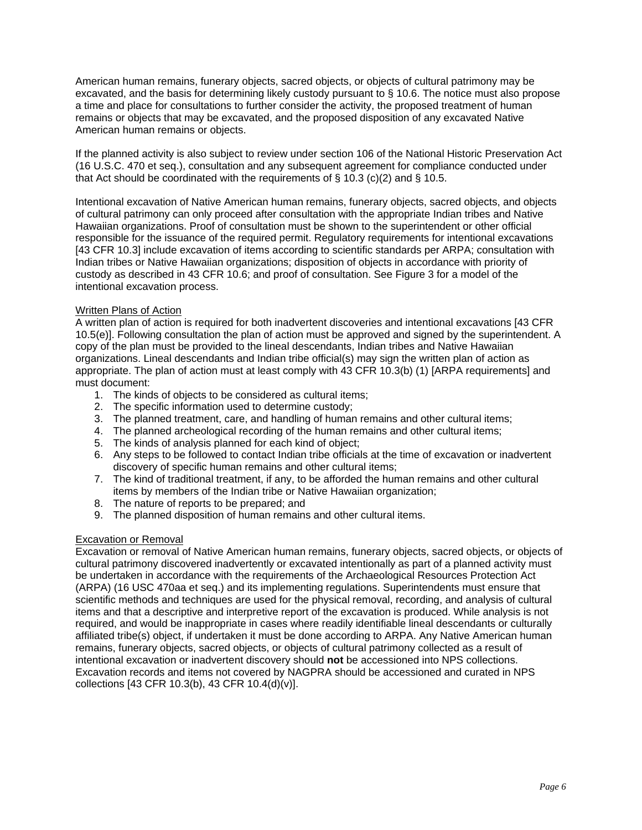American human remains, funerary objects, sacred objects, or objects of cultural patrimony may be excavated, and the basis for determining likely custody pursuant to § 10.6. The notice must also propose a time and place for consultations to further consider the activity, the proposed treatment of human remains or objects that may be excavated, and the proposed disposition of any excavated Native American human remains or objects.

If the planned activity is also subject to review under section 106 of the National Historic Preservation Act [\(16 U.S.C. 470 et seq.\)](http://www.cr.nps.gov/local-law/FHPL_HistPrsrvt.pdf), consultation and any subsequent agreement for compliance conducted under that Act should be coordinated with the requirements of  $\S$  10.3 (c)(2) and  $\S$  10.5.

Intentional excavation of Native American human remains, funerary objects, sacred objects, and objects of cultural patrimony can only proceed after consultation with the appropriate Indian tribes and Native Hawaiian organizations. Proof of consultation must be shown to the superintendent or other official responsible for the issuance of the required permit. Regulatory requirements for intentional excavations [43 CFR 10.3] include excavation of items according to scientific standards per ARPA; consultation with Indian tribes or Native Hawaiian organizations; disposition of objects in accordance with priority of custody as described in 43 CFR 10.6; and proof of consultation. See [Figure 3](#page-8-0) for a model of the intentional excavation process.

#### Written Plans of Action

A written plan of action is required for both inadvertent discoveries and intentional excavations [43 CFR 10.5(e)]. Following consultation the plan of action must be approved and signed by the superintendent. A copy of the plan must be provided to the lineal descendants, Indian tribes and Native Hawaiian organizations. Lineal descendants and Indian tribe official(s) may sign the written plan of action as appropriate. The plan of action must at least comply with 43 CFR 10.3(b) (1) [ARPA requirements] and must document:

- 1. The kinds of objects to be considered as cultural items;
- 2. The specific information used to determine custody;
- 3. The planned treatment, care, and handling of human remains and other cultural items;
- 4. The planned archeological recording of the human remains and other cultural items;
- 5. The kinds of analysis planned for each kind of object;
- 6. Any steps to be followed to contact Indian tribe officials at the time of excavation or inadvertent discovery of specific human remains and other cultural items;
- 7. The kind of traditional treatment, if any, to be afforded the human remains and other cultural items by members of the Indian tribe or Native Hawaiian organization;
- 8. The nature of reports to be prepared; and
- 9. The planned disposition of human remains and other cultural items.

#### Excavation or Removal

Excavation or removal of Native American human remains, funerary objects, sacred objects, or objects of cultural patrimony discovered inadvertently or excavated intentionally as part of a planned activity must be undertaken in accordance with the requirements of the Archaeological Resources Protection Act (ARPA) [\(16 USC 470aa et seq.](http://www.cr.nps.gov/local-law/FHPL_ArchRsrcsProt.pdf)) and its implementing regulations. Superintendents must ensure that scientific methods and techniques are used for the physical removal, recording, and analysis of cultural items and that a descriptive and interpretive report of the excavation is produced. While analysis is not required, and would be inappropriate in cases where readily identifiable lineal descendants or culturally affiliated tribe(s) object, if undertaken it must be done according to ARPA. Any Native American human remains, funerary objects, sacred objects, or objects of cultural patrimony collected as a result of intentional excavation or inadvertent discovery should **not** be accessioned into NPS collections. Excavation records and items not covered by NAGPRA should be accessioned and curated in NPS collections [43 CFR 10.3(b), 43 CFR 10.4(d)(v)].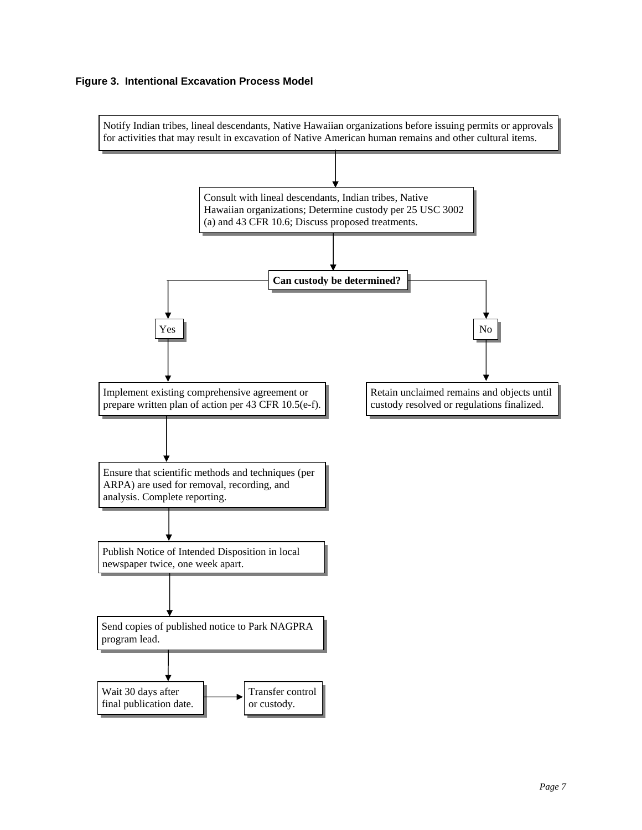# <span id="page-8-0"></span>**Figure 3. Intentional Excavation Process Model**

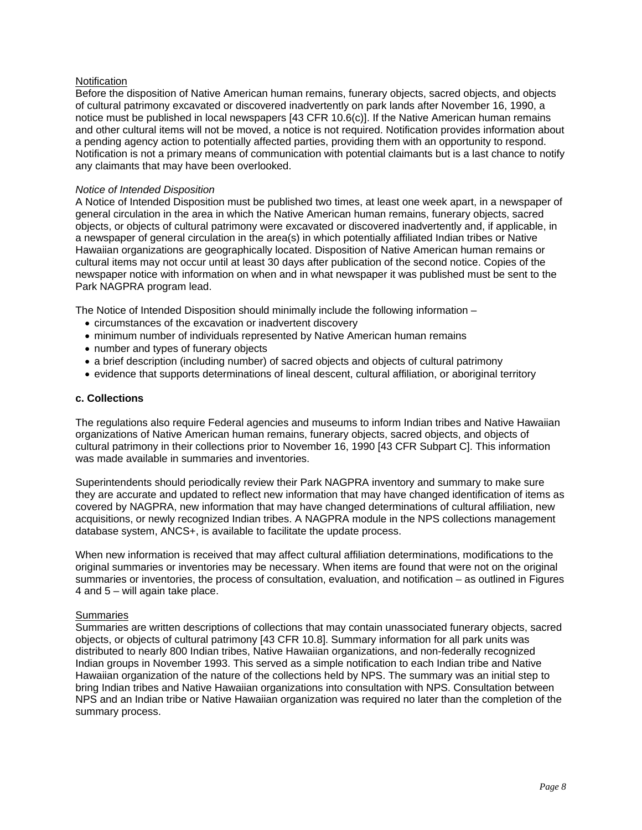# <span id="page-9-0"></span>**Notification**

Before the disposition of Native American human remains, funerary objects, sacred objects, and objects of cultural patrimony excavated or discovered inadvertently on park lands after November 16, 1990, a notice must be published in local newspapers [43 CFR 10.6(c)]. If the Native American human remains and other cultural items will not be moved, a notice is not required. Notification provides information about a pending agency action to potentially affected parties, providing them with an opportunity to respond. Notification is not a primary means of communication with potential claimants but is a last chance to notify any claimants that may have been overlooked.

#### *Notice of Intended Disposition*

A Notice of Intended Disposition must be published two times, at least one week apart, in a newspaper of general circulation in the area in which the Native American human remains, funerary objects, sacred objects, or objects of cultural patrimony were excavated or discovered inadvertently and, if applicable, in a newspaper of general circulation in the area(s) in which potentially affiliated Indian tribes or Native Hawaiian organizations are geographically located. Disposition of Native American human remains or cultural items may not occur until at least 30 days after publication of the second notice. Copies of the newspaper notice with information on when and in what newspaper it was published must be sent to the Park NAGPRA program lead.

The Notice of Intended Disposition should minimally include the following information –

- circumstances of the excavation or inadvertent discovery
- minimum number of individuals represented by Native American human remains
- number and types of funerary objects
- a brief description (including number) of sacred objects and objects of cultural patrimony
- evidence that supports determinations of lineal descent, cultural affiliation, or aboriginal territory

#### **c. Collections**

The regulations also require Federal agencies and museums to inform Indian tribes and Native Hawaiian organizations of Native American human remains, funerary objects, sacred objects, and objects of cultural patrimony in their collections prior to November 16, 1990 [43 CFR Subpart C]. This information was made available in summaries and inventories.

Superintendents should periodically review their Park NAGPRA inventory and summary to make sure they are accurate and updated to reflect new information that may have changed identification of items as covered by NAGPRA, new information that may have changed determinations of cultural affiliation, new acquisitions, or newly recognized Indian tribes. A NAGPRA module in the NPS collections management database system, ANCS+, is available to facilitate the update process.

When new information is received that may affect cultural affiliation determinations, modifications to the original summaries or inventories may be necessary. When items are found that were not on the original summaries or inventories, the process of consultation, evaluation, and notification – as outlined in Figures [4](#page-11-0) and [5](#page-12-0) – will again take place.

#### **Summaries**

Summaries are written descriptions of collections that may contain unassociated funerary objects, sacred objects, or objects of cultural patrimony [43 CFR 10.8]. Summary information for all park units was distributed to nearly 800 Indian tribes, Native Hawaiian organizations, and non-federally recognized Indian groups in November 1993. This served as a simple notification to each Indian tribe and Native Hawaiian organization of the nature of the collections held by NPS. The summary was an initial step to bring Indian tribes and Native Hawaiian organizations into consultation with NPS. Consultation between NPS and an Indian tribe or Native Hawaiian organization was required no later than the completion of the summary process.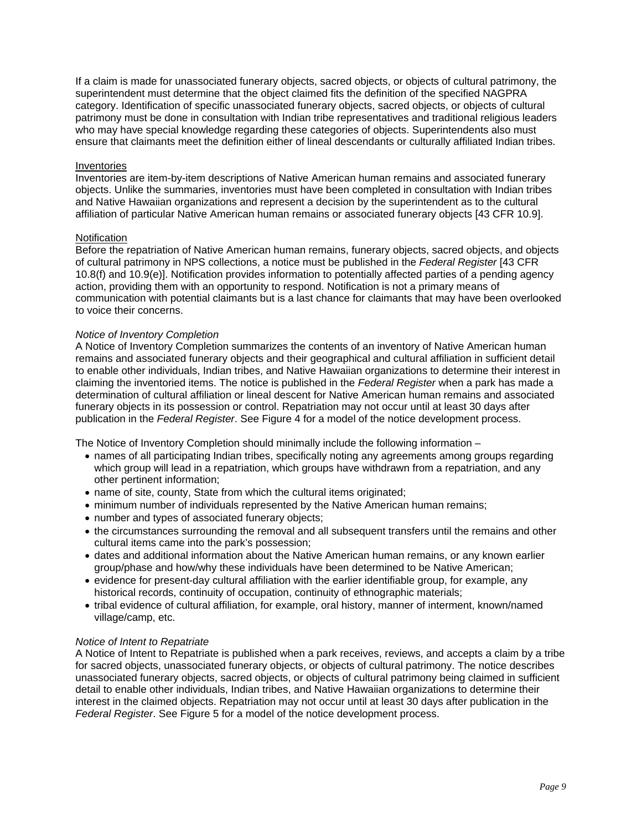If a claim is made for unassociated funerary objects, sacred objects, or objects of cultural patrimony, the superintendent must determine that the object claimed fits the definition of the specified NAGPRA category. Identification of specific unassociated funerary objects, sacred objects, or objects of cultural patrimony must be done in consultation with Indian tribe representatives and traditional religious leaders who may have special knowledge regarding these categories of objects. Superintendents also must ensure that claimants meet the definition either of lineal descendants or culturally affiliated Indian tribes.

#### Inventories

Inventories are item-by-item descriptions of Native American human remains and associated funerary objects. Unlike the summaries, inventories must have been completed in consultation with Indian tribes and Native Hawaiian organizations and represent a decision by the superintendent as to the cultural affiliation of particular Native American human remains or associated funerary objects [43 CFR 10.9].

#### **Notification**

Before the repatriation of Native American human remains, funerary objects, sacred objects, and objects of cultural patrimony in NPS collections, a notice must be published in the *Federal Register* [43 CFR 10.8(f) and 10.9(e)]. Notification provides information to potentially affected parties of a pending agency action, providing them with an opportunity to respond. Notification is not a primary means of communication with potential claimants but is a last chance for claimants that may have been overlooked to voice their concerns.

#### *Notice of Inventory Completion*

A Notice of Inventory Completion summarizes the contents of an inventory of Native American human remains and associated funerary objects and their geographical and cultural affiliation in sufficient detail to enable other individuals, Indian tribes, and Native Hawaiian organizations to determine their interest in claiming the inventoried items. The notice is published in the *Federal Register* when a park has made a determination of cultural affiliation or lineal descent for Native American human remains and associated funerary objects in its possession or control. Repatriation may not occur until at least 30 days after publication in the *Federal Register*. See [Figure 4](#page-11-0) for a model of the notice development process.

The Notice of Inventory Completion should minimally include the following information –

- names of all participating Indian tribes, specifically noting any agreements among groups regarding which group will lead in a repatriation, which groups have withdrawn from a repatriation, and any other pertinent information;
- name of site, county, State from which the cultural items originated;
- minimum number of individuals represented by the Native American human remains;
- number and types of associated funerary objects;
- the circumstances surrounding the removal and all subsequent transfers until the remains and other cultural items came into the park's possession;
- dates and additional information about the Native American human remains, or any known earlier group/phase and how/why these individuals have been determined to be Native American;
- evidence for present-day cultural affiliation with the earlier identifiable group, for example, any historical records, continuity of occupation, continuity of ethnographic materials;
- tribal evidence of cultural affiliation, for example, oral history, manner of interment, known/named village/camp, etc.

#### *Notice of Intent to Repatriate*

A Notice of Intent to Repatriate is published when a park receives, reviews, and accepts a claim by a tribe for sacred objects, unassociated funerary objects, or objects of cultural patrimony. The notice describes unassociated funerary objects, sacred objects, or objects of cultural patrimony being claimed in sufficient detail to enable other individuals, Indian tribes, and Native Hawaiian organizations to determine their interest in the claimed objects. Repatriation may not occur until at least 30 days after publication in the *Federal Register*. See [Figure 5](#page-12-0) for a model of the notice development process.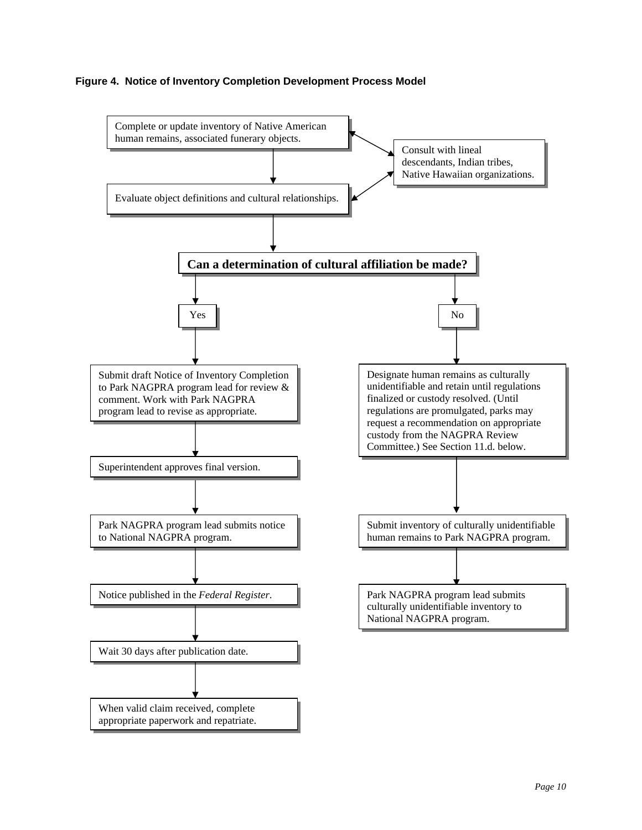# <span id="page-11-0"></span>**Figure 4. Notice of Inventory Completion Development Process Model**

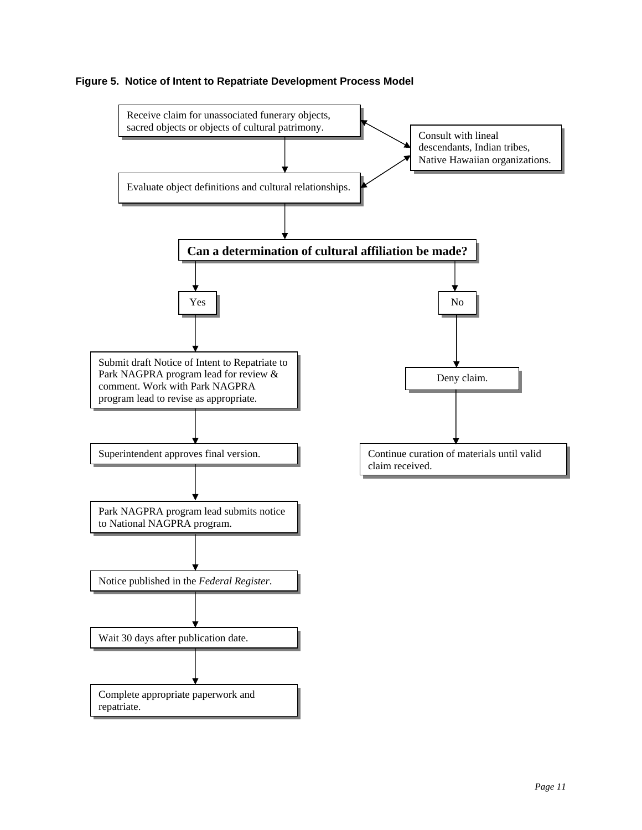

# <span id="page-12-0"></span>**Figure 5. Notice of Intent to Repatriate Development Process Model**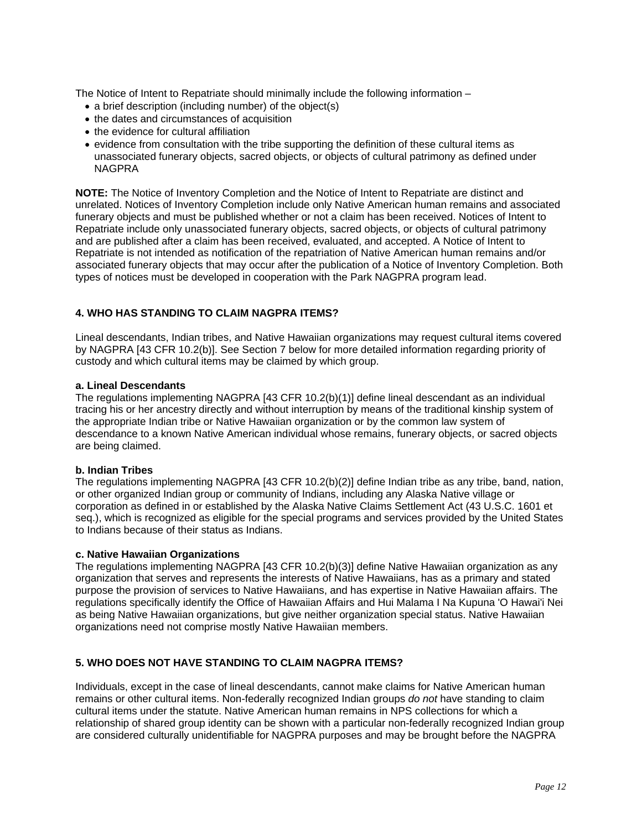<span id="page-13-0"></span>The Notice of Intent to Repatriate should minimally include the following information –

- a brief description (including number) of the object(s)
- the dates and circumstances of acquisition
- the evidence for cultural affiliation
- evidence from consultation with the tribe supporting the definition of these cultural items as unassociated funerary objects, sacred objects, or objects of cultural patrimony as defined under NAGPRA

**NOTE:** The Notice of Inventory Completion and the Notice of Intent to Repatriate are distinct and unrelated. Notices of Inventory Completion include only Native American human remains and associated funerary objects and must be published whether or not a claim has been received. Notices of Intent to Repatriate include only unassociated funerary objects, sacred objects, or objects of cultural patrimony and are published after a claim has been received, evaluated, and accepted. A Notice of Intent to Repatriate is not intended as notification of the repatriation of Native American human remains and/or associated funerary objects that may occur after the publication of a Notice of Inventory Completion. Both types of notices must be developed in cooperation with the Park NAGPRA program lead.

# **4. WHO HAS STANDING TO CLAIM NAGPRA ITEMS?**

Lineal descendants, Indian tribes, and Native Hawaiian organizations may request cultural items covered by NAGPRA [43 CFR 10.2(b)]. See [Section 7](#page-16-0) below for more detailed information regarding priority of custody and which cultural items may be claimed by which group.

#### **a. Lineal Descendants**

The regulations implementing NAGPRA [43 CFR 10.2(b)(1)] define lineal descendant as an individual tracing his or her ancestry directly and without interruption by means of the traditional kinship system of the appropriate Indian tribe or Native Hawaiian organization or by the common law system of descendance to a known Native American individual whose remains, funerary objects, or sacred objects are being claimed.

#### **b. Indian Tribes**

The regulations implementing NAGPRA [43 CFR 10.2(b)(2)] define Indian tribe as any tribe, band, nation, or other organized Indian group or community of Indians, including any Alaska Native village or [corporation as defined in or established by the Alaska Native Claims Settlement Act \(43 U.S.C. 1601 et](http://www.law.cornell.edu/uscode/html/uscode43/usc_sup_01_43_10_33.html) seq.), which is recognized as eligible for the special programs and services provided by the United States to Indians because of their status as Indians.

#### **c. Native Hawaiian Organizations**

The regulations implementing NAGPRA [43 CFR 10.2(b)(3)] define Native Hawaiian organization as any organization that serves and represents the interests of Native Hawaiians, has as a primary and stated purpose the provision of services to Native Hawaiians, and has expertise in Native Hawaiian affairs. The regulations specifically identify the Office of Hawaiian Affairs and Hui Malama I Na Kupuna 'O Hawai'i Nei as being Native Hawaiian organizations, but give neither organization special status. Native Hawaiian organizations need not comprise mostly Native Hawaiian members.

# **5. WHO DOES NOT HAVE STANDING TO CLAIM NAGPRA ITEMS?**

Individuals, except in the case of lineal descendants, cannot make claims for Native American human remains or other cultural items. Non-federally recognized Indian groups *do not* have standing to claim cultural items under the statute. Native American human remains in NPS collections for which a relationship of shared group identity can be shown with a particular non-federally recognized Indian group are considered culturally unidentifiable for NAGPRA purposes and may be brought before the NAGPRA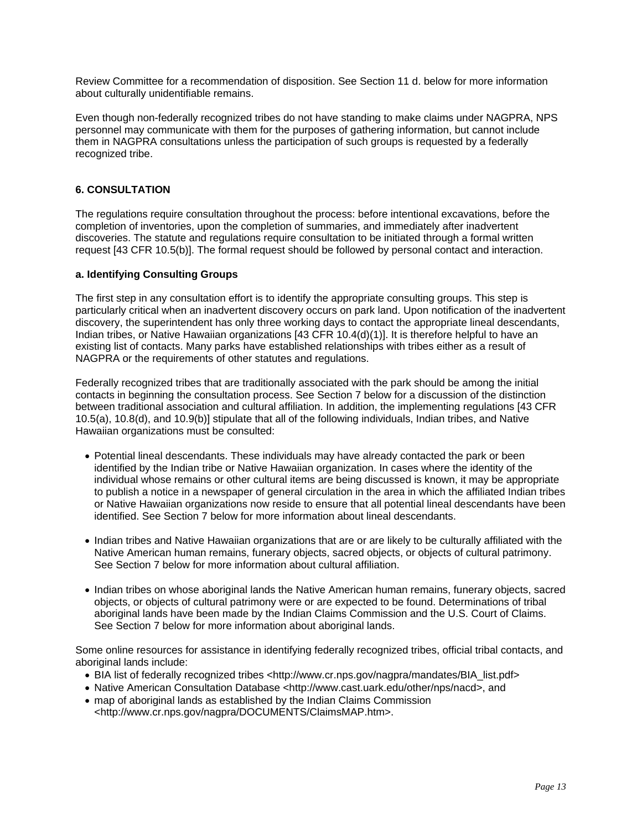<span id="page-14-0"></span>Review Committee for a recommendation of disposition. See [Section 11 d.](#page-24-0) below for more information about culturally unidentifiable remains.

Even though non-federally recognized tribes do not have standing to make claims under NAGPRA, NPS personnel may communicate with them for the purposes of gathering information, but cannot include them in NAGPRA consultations unless the participation of such groups is requested by a federally recognized tribe.

# **6. CONSULTATION**

The regulations require consultation throughout the process: before intentional excavations, before the completion of inventories, upon the completion of summaries, and immediately after inadvertent discoveries. The statute and regulations require consultation to be initiated through a formal written request [43 CFR 10.5(b)]. The formal request should be followed by personal contact and interaction.

# **a. Identifying Consulting Groups**

The first step in any consultation effort is to identify the appropriate consulting groups. This step is particularly critical when an inadvertent discovery occurs on park land. Upon notification of the inadvertent discovery, the superintendent has only three working days to contact the appropriate lineal descendants, Indian tribes, or Native Hawaiian organizations [43 CFR 10.4(d)(1)]. It is therefore helpful to have an existing list of contacts. Many parks have established relationships with tribes either as a result of NAGPRA or the requirements of other statutes and regulations.

Federally recognized tribes that are traditionally associated with the park should be among the initial contacts in beginning the consultation process. See [Section 7](#page-16-0) below for a discussion of the distinction between traditional association and cultural affiliation. In addition, the implementing regulations [43 CFR 10.5(a), 10.8(d), and 10.9(b)] stipulate that all of the following individuals, Indian tribes, and Native Hawaiian organizations must be consulted:

- Potential lineal descendants. These individuals may have already contacted the park or been identified by the Indian tribe or Native Hawaiian organization. In cases where the identity of the individual whose remains or other cultural items are being discussed is known, it may be appropriate to publish a notice in a newspaper of general circulation in the area in which the affiliated Indian tribes or Native Hawaiian organizations now reside to ensure that all potential lineal descendants have been identified. See [Section 7](#page-16-0) below for more information about lineal descendants.
- Indian tribes and Native Hawaiian organizations that are or are likely to be culturally affiliated with the Native American human remains, funerary objects, sacred objects, or objects of cultural patrimony. See [Section 7](#page-16-0) below for more information about cultural affiliation.
- Indian tribes on whose aboriginal lands the Native American human remains, funerary objects, sacred objects, or objects of cultural patrimony were or are expected to be found. Determinations of tribal aboriginal lands have been made by the Indian Claims Commission and the U.S. Court of Claims. See [Section 7](#page-16-0) below for more information about aboriginal lands.

Some online resources for assistance in identifying federally recognized tribes, official tribal contacts, and aboriginal lands include:

- BIA list of federally recognized tribes <http://www.cr.nps.gov/nagpra/mandates/BIA\_list.pdf>
- Native American Consultation Database <http://www.cast.uark.edu/other/nps/nacd>, and
- map of aboriginal lands as established by the Indian Claims Commission <http://www.cr.nps.gov/nagpra/DOCUMENTS/ClaimsMAP.htm>.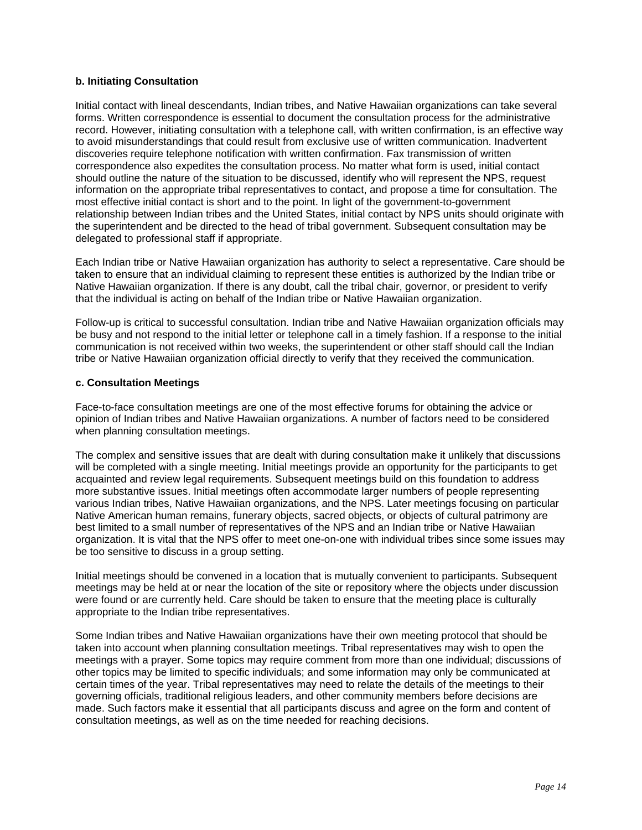# <span id="page-15-0"></span>**b. Initiating Consultation**

Initial contact with lineal descendants, Indian tribes, and Native Hawaiian organizations can take several forms. Written correspondence is essential to document the consultation process for the administrative record. However, initiating consultation with a telephone call, with written confirmation, is an effective way to avoid misunderstandings that could result from exclusive use of written communication. Inadvertent discoveries require telephone notification with written confirmation. Fax transmission of written correspondence also expedites the consultation process. No matter what form is used, initial contact should outline the nature of the situation to be discussed, identify who will represent the NPS, request information on the appropriate tribal representatives to contact, and propose a time for consultation. The most effective initial contact is short and to the point. In light of the government-to-government relationship between Indian tribes and the United States, initial contact by NPS units should originate with the superintendent and be directed to the head of tribal government. Subsequent consultation may be delegated to professional staff if appropriate.

Each Indian tribe or Native Hawaiian organization has authority to select a representative. Care should be taken to ensure that an individual claiming to represent these entities is authorized by the Indian tribe or Native Hawaiian organization. If there is any doubt, call the tribal chair, governor, or president to verify that the individual is acting on behalf of the Indian tribe or Native Hawaiian organization.

Follow-up is critical to successful consultation. Indian tribe and Native Hawaiian organization officials may be busy and not respond to the initial letter or telephone call in a timely fashion. If a response to the initial communication is not received within two weeks, the superintendent or other staff should call the Indian tribe or Native Hawaiian organization official directly to verify that they received the communication.

# **c. Consultation Meetings**

Face-to-face consultation meetings are one of the most effective forums for obtaining the advice or opinion of Indian tribes and Native Hawaiian organizations. A number of factors need to be considered when planning consultation meetings.

The complex and sensitive issues that are dealt with during consultation make it unlikely that discussions will be completed with a single meeting. Initial meetings provide an opportunity for the participants to get acquainted and review legal requirements. Subsequent meetings build on this foundation to address more substantive issues. Initial meetings often accommodate larger numbers of people representing various Indian tribes, Native Hawaiian organizations, and the NPS. Later meetings focusing on particular Native American human remains, funerary objects, sacred objects, or objects of cultural patrimony are best limited to a small number of representatives of the NPS and an Indian tribe or Native Hawaiian organization. It is vital that the NPS offer to meet one-on-one with individual tribes since some issues may be too sensitive to discuss in a group setting.

Initial meetings should be convened in a location that is mutually convenient to participants. Subsequent meetings may be held at or near the location of the site or repository where the objects under discussion were found or are currently held. Care should be taken to ensure that the meeting place is culturally appropriate to the Indian tribe representatives.

Some Indian tribes and Native Hawaiian organizations have their own meeting protocol that should be taken into account when planning consultation meetings. Tribal representatives may wish to open the meetings with a prayer. Some topics may require comment from more than one individual; discussions of other topics may be limited to specific individuals; and some information may only be communicated at certain times of the year. Tribal representatives may need to relate the details of the meetings to their governing officials, traditional religious leaders, and other community members before decisions are made. Such factors make it essential that all participants discuss and agree on the form and content of consultation meetings, as well as on the time needed for reaching decisions.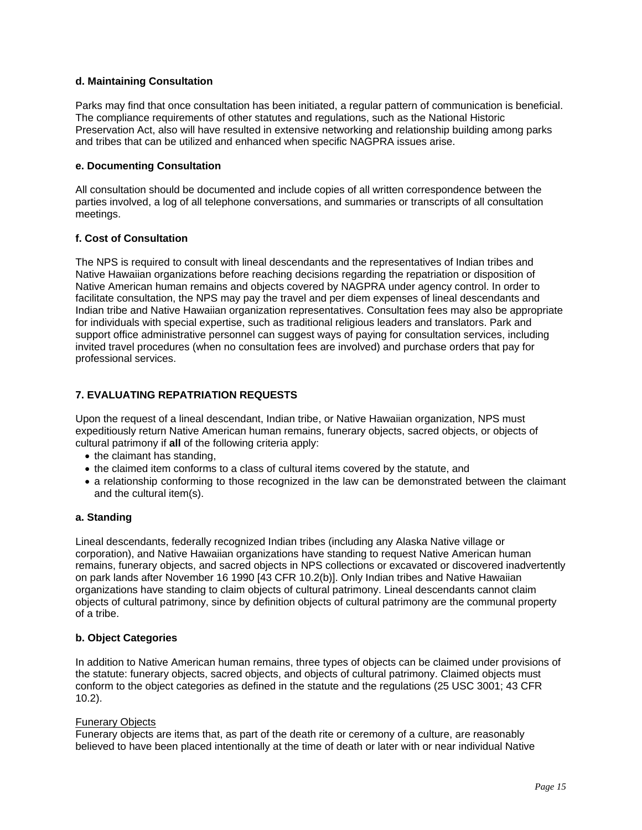# <span id="page-16-0"></span>**d. Maintaining Consultation**

Parks may find that once consultation has been initiated, a regular pattern of communication is beneficial. The compliance requirements of other statutes and regulations, such as the National Historic Preservation Act, also will have resulted in extensive networking and relationship building among parks and tribes that can be utilized and enhanced when specific NAGPRA issues arise.

#### **e. Documenting Consultation**

All consultation should be documented and include copies of all written correspondence between the parties involved, a log of all telephone conversations, and summaries or transcripts of all consultation meetings.

# **f. Cost of Consultation**

The NPS is required to consult with lineal descendants and the representatives of Indian tribes and Native Hawaiian organizations before reaching decisions regarding the repatriation or disposition of Native American human remains and objects covered by NAGPRA under agency control. In order to facilitate consultation, the NPS may pay the travel and per diem expenses of lineal descendants and Indian tribe and Native Hawaiian organization representatives. Consultation fees may also be appropriate for individuals with special expertise, such as traditional religious leaders and translators. Park and support office administrative personnel can suggest ways of paying for consultation services, including invited travel procedures (when no consultation fees are involved) and purchase orders that pay for professional services.

# **7. EVALUATING REPATRIATION REQUESTS**

Upon the request of a lineal descendant, Indian tribe, or Native Hawaiian organization, NPS must expeditiously return Native American human remains, funerary objects, sacred objects, or objects of cultural patrimony if **all** of the following criteria apply:

- the claimant has standing,
- the claimed item conforms to a class of cultural items covered by the statute, and
- a relationship conforming to those recognized in the law can be demonstrated between the claimant and the cultural item(s).

#### **a. Standing**

Lineal descendants, federally recognized Indian tribes (including any Alaska Native village or corporation), and Native Hawaiian organizations have standing to request Native American human remains, funerary objects, and sacred objects in NPS collections or excavated or discovered inadvertently on park lands after November 16 1990 [43 CFR 10.2(b)]. Only Indian tribes and Native Hawaiian organizations have standing to claim objects of cultural patrimony. Lineal descendants cannot claim objects of cultural patrimony, since by definition objects of cultural patrimony are the communal property of a tribe.

#### **b. Object Categories**

In addition to Native American human remains, three types of objects can be claimed under provisions of the statute: funerary objects, sacred objects, and objects of cultural patrimony. Claimed objects must [conform to the object categories as defined in the statute and the regulations \(](http://www.cr.nps.gov/nagpra/MANDATES/43_CFR_10_10-1-03.pdf)[25 USC 300](http://www.cr.nps.gov/local-law/FHPL_NAGPRA.pdf)[1; 43 CFR](http://www.cr.nps.gov/nagpra/MANDATES/43_CFR_10_10-1-03.pdf) 10.2).

#### Funerary Objects

Funerary objects are items that, as part of the death rite or ceremony of a culture, are reasonably believed to have been placed intentionally at the time of death or later with or near individual Native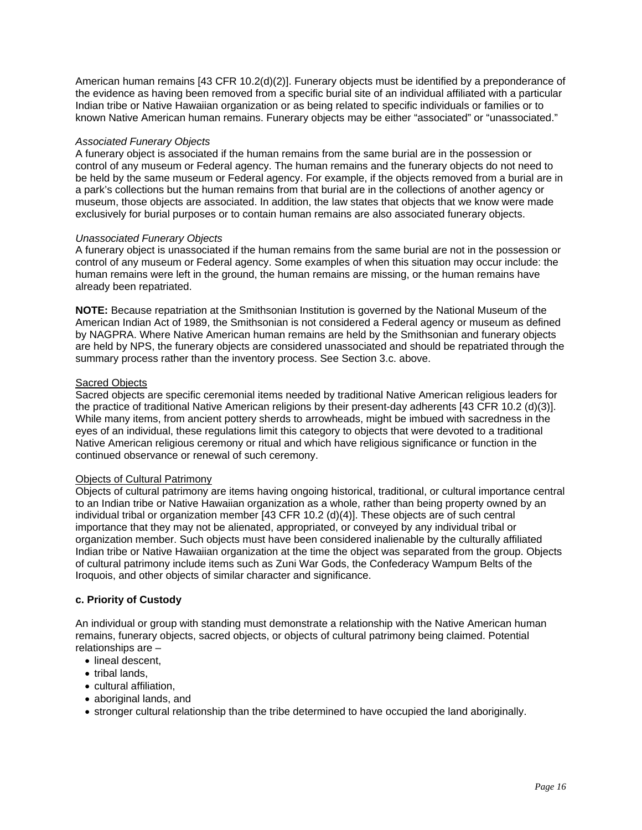<span id="page-17-0"></span>American human remains [43 CFR 10.2(d)(2)]. Funerary objects must be identified by a preponderance of the evidence as having been removed from a specific burial site of an individual affiliated with a particular Indian tribe or Native Hawaiian organization or as being related to specific individuals or families or to known Native American human remains. Funerary objects may be either "associated" or "unassociated."

#### *Associated Funerary Objects*

A funerary object is associated if the human remains from the same burial are in the possession or control of any museum or Federal agency. The human remains and the funerary objects do not need to be held by the same museum or Federal agency. For example, if the objects removed from a burial are in a park's collections but the human remains from that burial are in the collections of another agency or museum, those objects are associated. In addition, the law states that objects that we know were made exclusively for burial purposes or to contain human remains are also associated funerary objects.

#### *Unassociated Funerary Objects*

A funerary object is unassociated if the human remains from the same burial are not in the possession or control of any museum or Federal agency. Some examples of when this situation may occur include: the human remains were left in the ground, the human remains are missing, or the human remains have already been repatriated.

**NOTE:** Because repatriation at the Smithsonian Institution is governed by the National Museum of the [American Indian Act of 1989, the Smithsonian is not considered a Federal agency or museum as defin](http://www.nmnh.si.edu/anthro/repatriation/pdf/nmai_act.pdf)ed by NAGPRA. Where Native American human remains are held by the Smithsonian and funerary objects are held by NPS, the funerary objects are considered unassociated and should be repatriated through the summary process rather than the inventory process. See [Section 3.c.](#page-9-0) above.

# Sacred Objects

Sacred objects are specific ceremonial items needed by traditional Native American religious leaders for the practice of traditional Native American religions by their present-day adherents [43 CFR 10.2 (d)(3)]. While many items, from ancient pottery sherds to arrowheads, might be imbued with sacredness in the eyes of an individual, these regulations limit this category to objects that were devoted to a traditional Native American religious ceremony or ritual and which have religious significance or function in the continued observance or renewal of such ceremony.

#### Objects of Cultural Patrimony

Objects of cultural patrimony are items having ongoing historical, traditional, or cultural importance central to an Indian tribe or Native Hawaiian organization as a whole, rather than being property owned by an individual tribal or organization member [43 CFR 10.2 (d)(4)]. These objects are of such central importance that they may not be alienated, appropriated, or conveyed by any individual tribal or organization member. Such objects must have been considered inalienable by the culturally affiliated Indian tribe or Native Hawaiian organization at the time the object was separated from the group. Objects of cultural patrimony include items such as Zuni War Gods, the Confederacy Wampum Belts of the Iroquois, and other objects of similar character and significance.

#### **c. Priority of Custody**

An individual or group with standing must demonstrate a relationship with the Native American human remains, funerary objects, sacred objects, or objects of cultural patrimony being claimed. Potential relationships are –

- lineal descent.
- tribal lands,
- cultural affiliation,
- aboriginal lands, and
- stronger cultural relationship than the tribe determined to have occupied the land aboriginally.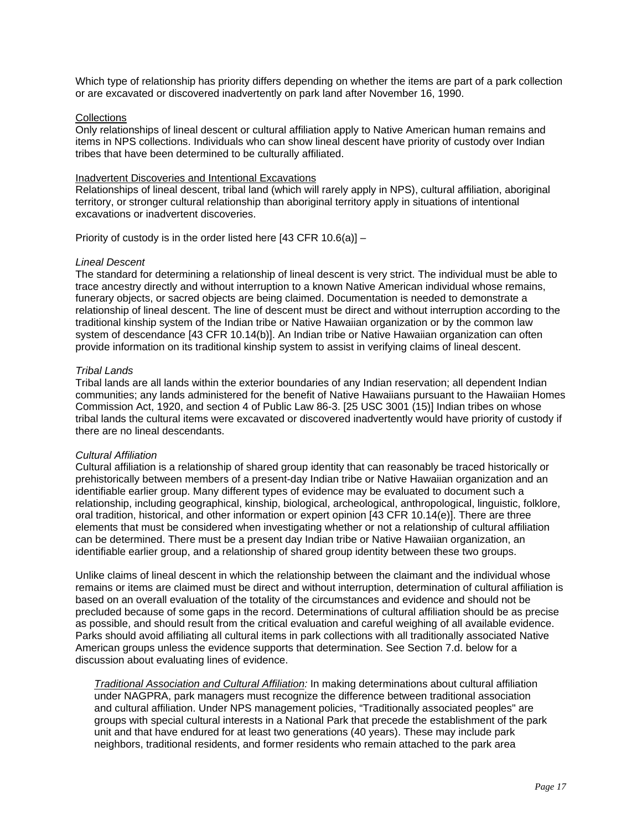Which type of relationship has priority differs depending on whether the items are part of a park collection or are excavated or discovered inadvertently on park land after November 16, 1990.

#### **Collections**

Only relationships of lineal descent or cultural affiliation apply to Native American human remains and items in NPS collections. Individuals who can show lineal descent have priority of custody over Indian tribes that have been determined to be culturally affiliated.

#### Inadvertent Discoveries and Intentional Excavations

Relationships of lineal descent, tribal land (which will rarely apply in NPS), cultural affiliation, aboriginal territory, or stronger cultural relationship than aboriginal territory apply in situations of intentional excavations or inadvertent discoveries.

Priority of custody is in the order listed here [43 CFR 10.6(a)] –

#### *Lineal Descent*

The standard for determining a relationship of lineal descent is very strict. The individual must be able to trace ancestry directly and without interruption to a known Native American individual whose remains, funerary objects, or sacred objects are being claimed. Documentation is needed to demonstrate a relationship of lineal descent. The line of descent must be direct and without interruption according to the traditional kinship system of the Indian tribe or Native Hawaiian organization or by the common law system of descendance [43 CFR 10.14(b)]. An Indian tribe or Native Hawaiian organization can often provide information on its traditional kinship system to assist in verifying claims of lineal descent.

#### *Tribal Lands*

Tribal lands are all lands within the exterior boundaries of any Indian reservation; all dependent Indian [communities; any lands administered for the benefit of Native Hawaiians pursuant to the Hawaiian Homes](http://www.capitol.hawaii.gov/hrscurrent/vol01_ch0001-0042f/06-Hhca/HHCA_.htm) Commission Act, 1920, and section 4 of Public Law 86-3. [25 USC 3001 (15)] Indian tribes on whose tribal lands the cultural items were excavated or discovered inadvertently would have priority of custody if there are no lineal descendants.

#### *Cultural Affiliation*

Cultural affiliation is a relationship of shared group identity that can reasonably be traced historically or prehistorically between members of a present-day Indian tribe or Native Hawaiian organization and an identifiable earlier group. Many different types of evidence may be evaluated to document such a relationship, including geographical, kinship, biological, archeological, anthropological, linguistic, folklore, oral tradition, historical, and other information or expert opinion [43 CFR 10.14(e)]. There are three elements that must be considered when investigating whether or not a relationship of cultural affiliation can be determined. There must be a present day Indian tribe or Native Hawaiian organization, an identifiable earlier group, and a relationship of shared group identity between these two groups.

Unlike claims of lineal descent in which the relationship between the claimant and the individual whose remains or items are claimed must be direct and without interruption, determination of cultural affiliation is based on an overall evaluation of the totality of the circumstances and evidence and should not be precluded because of some gaps in the record. Determinations of cultural affiliation should be as precise as possible, and should result from the critical evaluation and careful weighing of all available evidence. Parks should avoid affiliating all cultural items in park collections with all traditionally associated Native American groups unless the evidence supports that determination. See [Section 7.d.](#page-19-0) below for a discussion about evaluating lines of evidence.

*Traditional Association and Cultural Affiliation:* In making determinations about cultural affiliation under NAGPRA, park managers must recognize the difference between traditional association and cultural affiliation. Under NPS management policies, "Traditionally associated peoples" are groups with special cultural interests in a National Park that precede the establishment of the park unit and that have endured for at least two generations (40 years). These may include park neighbors, traditional residents, and former residents who remain attached to the park area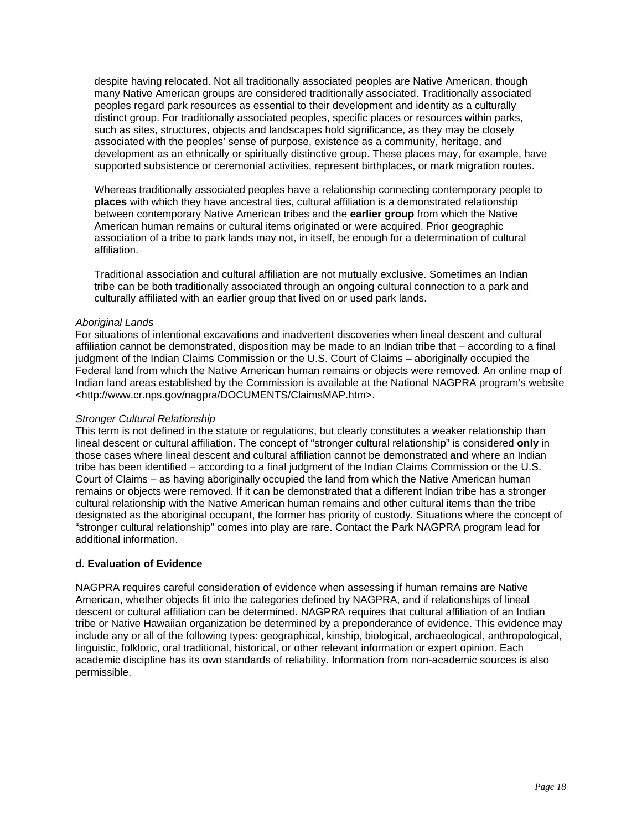<span id="page-19-0"></span>despite having relocated. Not all traditionally associated peoples are Native American, though many Native American groups are considered traditionally associated. Traditionally associated peoples regard park resources as essential to their development and identity as a culturally distinct group. For traditionally associated peoples, specific places or resources within parks, such as sites, structures, objects and landscapes hold significance, as they may be closely associated with the peoples' sense of purpose, existence as a community, heritage, and development as an ethnically or spiritually distinctive group. These places may, for example, have supported subsistence or ceremonial activities, represent birthplaces, or mark migration routes.

Whereas traditionally associated peoples have a relationship connecting contemporary people to **places** with which they have ancestral ties, cultural affiliation is a demonstrated relationship between contemporary Native American tribes and the **earlier group** from which the Native American human remains or cultural items originated or were acquired. Prior geographic association of a tribe to park lands may not, in itself, be enough for a determination of cultural affiliation.

Traditional association and cultural affiliation are not mutually exclusive. Sometimes an Indian tribe can be both traditionally associated through an ongoing cultural connection to a park and culturally affiliated with an earlier group that lived on or used park lands.

#### *Aboriginal Lands*

For situations of intentional excavations and inadvertent discoveries when lineal descent and cultural affiliation cannot be demonstrated, disposition may be made to an Indian tribe that – according to a final judgment of the Indian Claims Commission or the U.S. Court of Claims – aboriginally occupied the Federal land from which the Native American human remains or objects were removed. An online map of Indian land areas established by the Commission is available at the National NAGPRA program's website <http://www.cr.nps.gov/nagpra/DOCUMENTS/ClaimsMAP.htm>.

#### *Stronger Cultural Relationship*

This term is not defined in the statute or regulations, but clearly constitutes a weaker relationship than lineal descent or cultural affiliation. The concept of "stronger cultural relationship" is considered **only** in those cases where lineal descent and cultural affiliation cannot be demonstrated **and** where an Indian tribe has been identified – according to a final judgment of the Indian Claims Commission or the U.S. Court of Claims – as having aboriginally occupied the land from which the Native American human remains or objects were removed. If it can be demonstrated that a different Indian tribe has a stronger cultural relationship with the Native American human remains and other cultural items than the tribe designated as the aboriginal occupant, the former has priority of custody. Situations where the concept of "stronger cultural relationship" comes into play are rare. Contact the Park NAGPRA program lead for additional information.

# **d. Evaluation of Evidence**

NAGPRA requires careful consideration of evidence when assessing if human remains are Native American, whether objects fit into the categories defined by NAGPRA, and if relationships of lineal descent or cultural affiliation can be determined. NAGPRA requires that cultural affiliation of an Indian tribe or Native Hawaiian organization be determined by a preponderance of evidence. This evidence may include any or all of the following types: geographical, kinship, biological, archaeological, anthropological, linguistic, folkloric, oral traditional, historical, or other relevant information or expert opinion. Each academic discipline has its own standards of reliability. Information from non-academic sources is also permissible.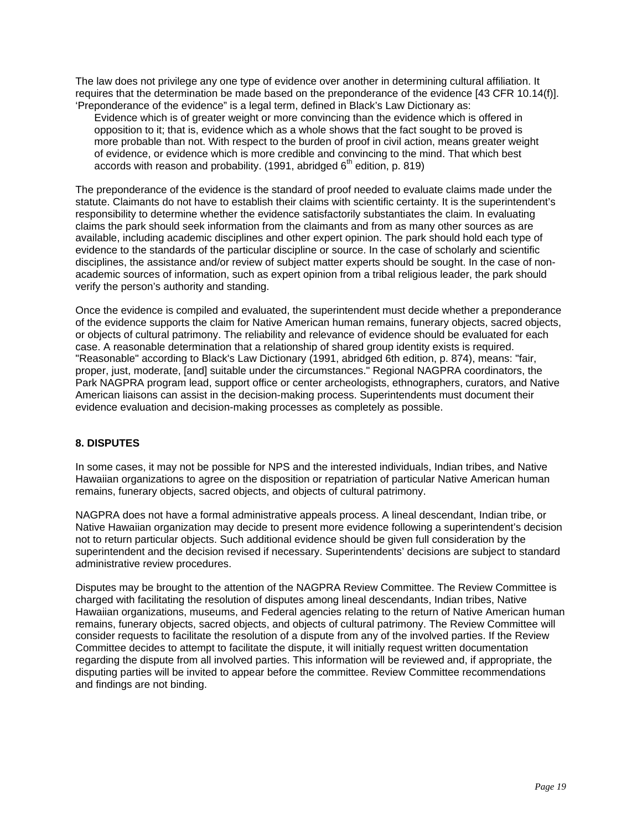<span id="page-20-0"></span>The law does not privilege any one type of evidence over another in determining cultural affiliation. It requires that the determination be made based on the preponderance of the evidence [43 CFR 10.14(f)]. 'Preponderance of the evidence" is a legal term, defined in Black's Law Dictionary as:

Evidence which is of greater weight or more convincing than the evidence which is offered in opposition to it; that is, evidence which as a whole shows that the fact sought to be proved is more probable than not. With respect to the burden of proof in civil action, means greater weight of evidence, or evidence which is more credible and convincing to the mind. That which best accords with reason and probability. (1991, abridged  $6<sup>th</sup>$  edition, p. 819)

The preponderance of the evidence is the standard of proof needed to evaluate claims made under the statute. Claimants do not have to establish their claims with scientific certainty. It is the superintendent's responsibility to determine whether the evidence satisfactorily substantiates the claim. In evaluating claims the park should seek information from the claimants and from as many other sources as are available, including academic disciplines and other expert opinion. The park should hold each type of evidence to the standards of the particular discipline or source. In the case of scholarly and scientific disciplines, the assistance and/or review of subject matter experts should be sought. In the case of nonacademic sources of information, such as expert opinion from a tribal religious leader, the park should verify the person's authority and standing.

Once the evidence is compiled and evaluated, the superintendent must decide whether a preponderance of the evidence supports the claim for Native American human remains, funerary objects, sacred objects, or objects of cultural patrimony. The reliability and relevance of evidence should be evaluated for each case. A reasonable determination that a relationship of shared group identity exists is required. "Reasonable" according to Black's Law Dictionary (1991, abridged 6th edition, p. 874), means: "fair, proper, just, moderate, [and] suitable under the circumstances." Regional NAGPRA coordinators, the Park NAGPRA program lead, support office or center archeologists, ethnographers, curators, and Native American liaisons can assist in the decision-making process. Superintendents must document their evidence evaluation and decision-making processes as completely as possible.

# **8. DISPUTES**

In some cases, it may not be possible for NPS and the interested individuals, Indian tribes, and Native Hawaiian organizations to agree on the disposition or repatriation of particular Native American human remains, funerary objects, sacred objects, and objects of cultural patrimony.

NAGPRA does not have a formal administrative appeals process. A lineal descendant, Indian tribe, or Native Hawaiian organization may decide to present more evidence following a superintendent's decision not to return particular objects. Such additional evidence should be given full consideration by the superintendent and the decision revised if necessary. Superintendents' decisions are subject to standard administrative review procedures.

Disputes may be brought to the attention of the NAGPRA Review Committee. The Review Committee is charged with facilitating the resolution of disputes among lineal descendants, Indian tribes, Native Hawaiian organizations, museums, and Federal agencies relating to the return of Native American human remains, funerary objects, sacred objects, and objects of cultural patrimony. The Review Committee will consider requests to facilitate the resolution of a dispute from any of the involved parties. If the Review Committee decides to attempt to facilitate the dispute, it will initially request written documentation regarding the dispute from all involved parties. This information will be reviewed and, if appropriate, the disputing parties will be invited to appear before the committee. Review Committee recommendations and findings are not binding.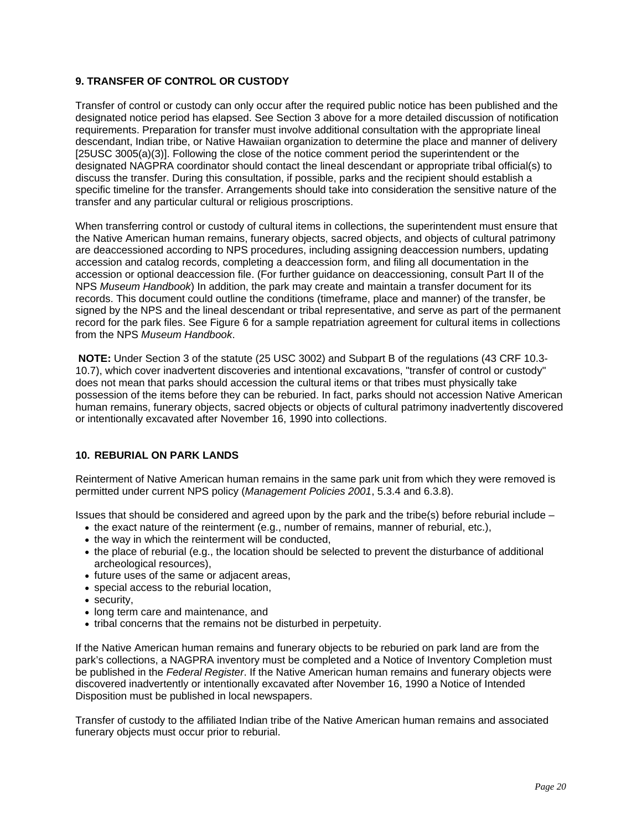# <span id="page-21-0"></span>**9. TRANSFER OF CONTROL OR CUSTODY**

Transfer of control or custody can only occur after the required public notice has been published and the designated notice period has elapsed. See [Section 3](#page-3-0) above for a more detailed discussion of notification requirements. Preparation for transfer must involve additional consultation with the appropriate lineal descendant, Indian tribe, or Native Hawaiian organization to determine the place and manner of delivery [25USC 3005(a)(3)]. Following the close of the notice comment period the superintendent or the designated NAGPRA coordinator should contact the lineal descendant or appropriate tribal official(s) to discuss the transfer. During this consultation, if possible, parks and the recipient should establish a specific timeline for the transfer. Arrangements should take into consideration the sensitive nature of the transfer and any particular cultural or religious proscriptions.

When transferring control or custody of cultural items in collections, the superintendent must ensure that the Native American human remains, funerary objects, sacred objects, and objects of cultural patrimony are deaccessioned according to NPS procedures, including assigning deaccession numbers, updating accession and catalog records, completing a deaccession form, and filing all documentation in the accession or optional deaccession file. (For further guidance on deaccessioning, consult [Part II](http://www.cr.nps.gov/museum/publications/MHII/mushbkII.html) of the NPS *[Museum Handbook](http://www.cr.nps.gov/museum/publications/handbook.html)*) In addition, the park may create and maintain a transfer document for its records. This document could outline the conditions (timeframe, place and manner) of the transfer, be signed by the NPS and the lineal descendant or tribal representative, and serve as part of the permanent record for the park files. See [Figure 6](#page-22-0) for a sample repatriation agreement for cultural items in collections from the NPS *Museum Handbook*.

**NOTE:** Under Section 3 of the statute (25 USC 3002) and Subpart B of the regulations (43 CRF 10.3- 10.7), which cover inadvertent discoveries and intentional excavations, "transfer of control or custody" does not mean that parks should accession the cultural items or that tribes must physically take possession of the items before they can be reburied. In fact, parks should not accession Native American human remains, funerary objects, sacred objects or objects of cultural patrimony inadvertently discovered or intentionally excavated after November 16, 1990 into collections.

# **10. REBURIAL ON PARK LANDS**

Reinterment of Native American human remains in the same park unit from which they were removed is permitted under current NPS policy (*[Management Policies 2001](http://www.nps.gov/policy/mp/policies.pdf)*, 5.3.4 and 6.3.8).

Issues that should be considered and agreed upon by the park and the tribe(s) before reburial include  $-$ 

- the exact nature of the reinterment (e.g., number of remains, manner of reburial, etc.),
- the way in which the reinterment will be conducted.
- the place of reburial (e.g., the location should be selected to prevent the disturbance of additional archeological resources),
- future uses of the same or adjacent areas,
- special access to the reburial location,
- security,
- long term care and maintenance, and
- tribal concerns that the remains not be disturbed in perpetuity.

If the Native American human remains and funerary objects to be reburied on park land are from the park's collections, a NAGPRA inventory must be completed and a Notice of Inventory Completion must be published in the *Federal Register*. If the Native American human remains and funerary objects were discovered inadvertently or intentionally excavated after November 16, 1990 a Notice of Intended Disposition must be published in local newspapers.

Transfer of custody to the affiliated Indian tribe of the Native American human remains and associated funerary objects must occur prior to reburial.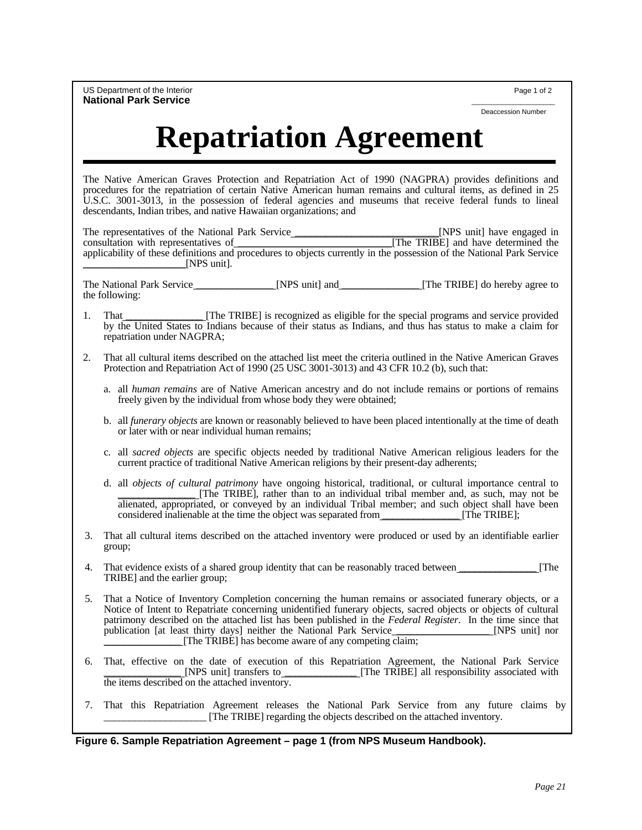<span id="page-22-0"></span>US Department of the Interior **Page 1 of 2** and 2 and 2 and 2 and 2 and 2 and 2 and 2 and 2 and 2 and 2 and 2 and 2 and 2 and 2 and 2 and 2 and 2 and 2 and 2 and 2 and 2 and 2 and 2 and 2 and 2 and 2 and 2 and 2 and 2 and **National Park Service** 

Deaccession Number

# **Repatriation Agreement**

The Native American Graves Protection and Repatriation Act of 1990 (NAGPRA) provides definitions and procedures for the repatriation of certain Native American human remains and cultural items, as defined in 25 U.S.C. 3001-3013, in the possession of federal agencies and museums that receive federal funds to lineal descendants, Indian tribes, and native Hawaiian organizations; and

The representatives of the National Park Service \_\_\_\_\_\_\_\_\_\_\_\_\_\_\_\_\_\_\_\_\_\_\_\_\_\_\_\_[NPS unit] have engaged in consultation with representatives of \_\_\_\_\_\_\_\_\_\_\_\_\_\_\_\_\_\_\_\_\_\_\_\_\_\_\_\_\_\_[The TRIBE] and have determined the applicability of these definitions and procedures to objects currently in the possession of the National Park Service  $\Box$  [NPS unit].

The National Park Service The Service and Service and Service and Service in the Service and Service and Service in the Service and Service and Service and Service and Service and Service and Service and Service and Servic the following:

- 1. That **I. That Election** [The TRIBE] is recognized as eligible for the special programs and service provided by the United States to Indians because of their status as Indians, and thus has status to make a claim for repatriation under NAGPRA;
- 2. That all cultural items described on the attached list meet the criteria outlined in the Native American Graves Protection and Repatriation Act of 1990 (25 USC 3001-3013) and 43 CFR 10.2 (b), such that:
	- a. all *human remains* are of Native American ancestry and do not include remains or portions of remains freely given by the individual from whose body they were obtained;
	- b. all *funerary objects* are known or reasonably believed to have been placed intentionally at the time of death or later with or near individual human remains;
	- c. all *sacred objects* are specific objects needed by traditional Native American religious leaders for the current practice of traditional Native American religions by their present-day adherents;
	- d. all *objects of cultural patrimony* have ongoing historical, traditional, or cultural importance central to \_\_\_\_\_\_\_\_\_\_\_\_\_\_\_ [The TRIBE], rather than to an individual tribal member and, as such, may not be alienated, appropriated, or conveyed by an individual Tribal member; and such object shall have been considered inalienable at the time the object was separated from \_\_\_\_\_\_\_\_\_\_\_\_\_\_\_ [The TRIBE];
- 3. That all cultural items described on the attached inventory were produced or used by an identifiable earlier group;
- That evidence exists of a shared group identity that can be reasonably traced between [The TRIBE] and the earlier group;
- 5. That a Notice of Inventory Completion concerning the human remains or associated funerary objects, or a Notice of Intent to Repatriate concerning unidentified funerary objects, sacred objects or objects of cultural patrimony described on the attached list has been published in the *Federal Register*. In the time since that publication [at least thirty days] neither the National Park Service \_\_\_\_\_\_\_\_\_\_\_\_\_\_\_\_\_\_ [NPS unit] nor \_\_\_\_\_\_\_\_\_\_\_\_\_\_\_ [The TRIBE] has become aware of any competing claim;
- 6. That, effective on the date of execution of this Repatriation Agreement, the National Park Service [NPS unit] transfers to [The TRIBE] all responsibility associated with [The TRIBE] all responsibility associated with the items described on the attached inventory.
- 7. That this Repatriation Agreement releases the National Park Service from any future claims by \_\_\_\_\_\_\_\_\_\_\_\_\_\_\_\_\_\_\_\_ [The TRIBE] regarding the objects described on the attached inventory.

#### **Figure 6. Sample Repatriation Agreement – page 1 (from NPS Museum Handbook).**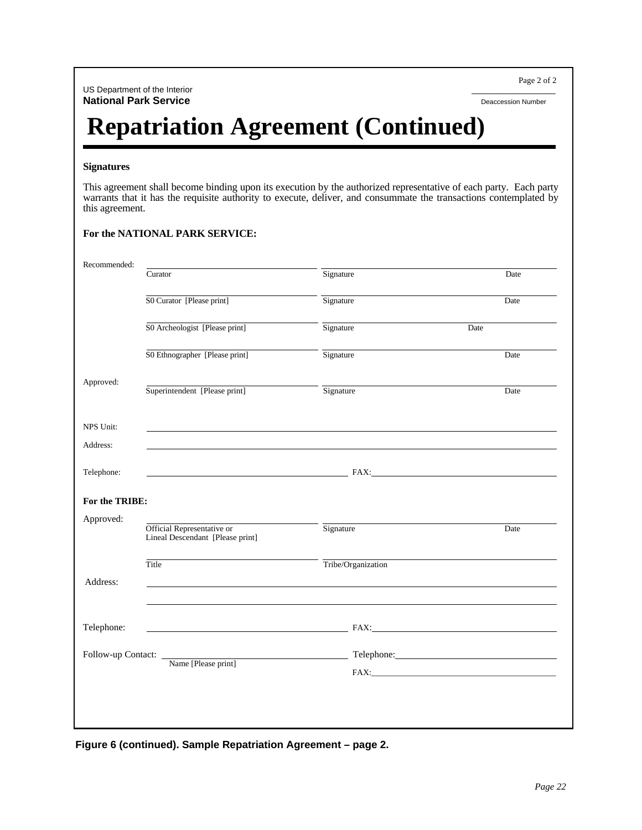US Department of the Interior **National Park Service** Deaccession Number

Page 2 of 2

# **Repatriation Agreement (Continued)**

#### **Signatures**

This agreement shall become binding upon its execution by the authorized representative of each party. Each party warrants that it has the requisite authority to execute, deliver, and consummate the transactions contemplated by this agreement.

| For the NATIONAL PARK SERVICE: |  |
|--------------------------------|--|
|                                |  |

| Recommended:       |                                                                |                                                                                                                                                                                                                                      |      |
|--------------------|----------------------------------------------------------------|--------------------------------------------------------------------------------------------------------------------------------------------------------------------------------------------------------------------------------------|------|
|                    | Curator                                                        | Signature                                                                                                                                                                                                                            | Date |
|                    | SO Curator [Please print]                                      | Signature                                                                                                                                                                                                                            | Date |
|                    | S0 Archeologist [Please print]                                 | Signature                                                                                                                                                                                                                            | Date |
|                    | S0 Ethnographer [Please print]                                 | Signature                                                                                                                                                                                                                            | Date |
| Approved:          | Superintendent [Please print]                                  | Signature                                                                                                                                                                                                                            | Date |
| NPS Unit:          |                                                                | ,我们也不会有什么。""我们的人,我们也不会有什么?""我们的人,我们也不会有什么?""我们的人,我们也不会有什么?""我们的人,我们也不会有什么?""我们的人                                                                                                                                                     |      |
| Address:           |                                                                |                                                                                                                                                                                                                                      |      |
| Telephone:         |                                                                |                                                                                                                                                                                                                                      |      |
| For the TRIBE:     |                                                                |                                                                                                                                                                                                                                      |      |
| Approved:          | Official Representative or<br>Lineal Descendant [Please print] | Signature                                                                                                                                                                                                                            | Date |
|                    | Title                                                          | Tribe/Organization                                                                                                                                                                                                                   |      |
| Address:           |                                                                |                                                                                                                                                                                                                                      |      |
|                    |                                                                |                                                                                                                                                                                                                                      |      |
| Telephone:         |                                                                | <b>EXECUTIVE SERVICE SERVICE SERVICE SERVICE SERVICE SERVICE SERVICE SERVICE SERVICE SERVICE SERVICE SERVICE SERVICE SERVICE SERVICE SERVICE SERVICE SERVICE SERVICE SERVICE SERVICE SERVICE SERVICE SERVICE SERVICE SERVICE SER</b> |      |
| Follow-up Contact: |                                                                |                                                                                                                                                                                                                                      |      |
|                    | Name [Please print]                                            |                                                                                                                                                                                                                                      |      |
|                    |                                                                |                                                                                                                                                                                                                                      |      |
|                    |                                                                |                                                                                                                                                                                                                                      |      |
|                    |                                                                |                                                                                                                                                                                                                                      |      |

**Figure 6 (continued). Sample Repatriation Agreement – page 2.**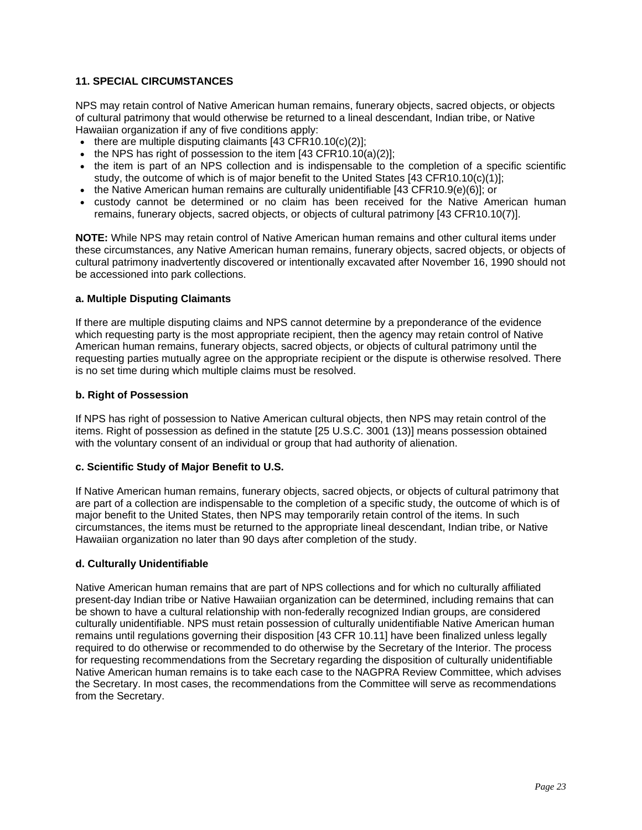# <span id="page-24-0"></span>**11. SPECIAL CIRCUMSTANCES**

NPS may retain control of Native American human remains, funerary objects, sacred objects, or objects of cultural patrimony that would otherwise be returned to a lineal descendant, Indian tribe, or Native Hawaiian organization if any of five conditions apply:

- there are multiple disputing claimants [43 CFR10.10(c)(2)]:
- the NPS has right of possession to the item [43 CFR10.10(a)(2)];
- the item is part of an NPS collection and is indispensable to the completion of a specific scientific study, the outcome of which is of major benefit to the United States [43 CFR10.10(c)(1)];
- the Native American human remains are culturally unidentifiable [43 CFR10.9(e)(6)]; or
- custody cannot be determined or no claim has been received for the Native American human remains, funerary objects, sacred objects, or objects of cultural patrimony [43 CFR10.10(7)].

**NOTE:** While NPS may retain control of Native American human remains and other cultural items under these circumstances, any Native American human remains, funerary objects, sacred objects, or objects of cultural patrimony inadvertently discovered or intentionally excavated after November 16, 1990 should not be accessioned into park collections.

#### **a. Multiple Disputing Claimants**

If there are multiple disputing claims and NPS cannot determine by a preponderance of the evidence which requesting party is the most appropriate recipient, then the agency may retain control of Native American human remains, funerary objects, sacred objects, or objects of cultural patrimony until the requesting parties mutually agree on the appropriate recipient or the dispute is otherwise resolved. There is no set time during which multiple claims must be resolved.

#### **b. Right of Possession**

If NPS has right of possession to Native American cultural objects, then NPS may retain control of the items. Right of possession as defined in the statute [25 U.S.C. 3001 (13)] means possession obtained with the voluntary consent of an individual or group that had authority of alienation.

#### **c. Scientific Study of Major Benefit to U.S.**

If Native American human remains, funerary objects, sacred objects, or objects of cultural patrimony that are part of a collection are indispensable to the completion of a specific study, the outcome of which is of major benefit to the United States, then NPS may temporarily retain control of the items. In such circumstances, the items must be returned to the appropriate lineal descendant, Indian tribe, or Native Hawaiian organization no later than 90 days after completion of the study.

#### **d. Culturally Unidentifiable**

Native American human remains that are part of NPS collections and for which no culturally affiliated present-day Indian tribe or Native Hawaiian organization can be determined, including remains that can be shown to have a cultural relationship with non-federally recognized Indian groups, are considered culturally unidentifiable. NPS must retain possession of culturally unidentifiable Native American human remains until regulations governing their disposition [43 CFR 10.11] have been finalized unless legally required to do otherwise or recommended to do otherwise by the Secretary of the Interior. The process for requesting recommendations from the Secretary regarding the disposition of culturally unidentifiable Native American human remains is to take each case to the NAGPRA Review Committee, which advises the Secretary. In most cases, the recommendations from the Committee will serve as recommendations from the Secretary.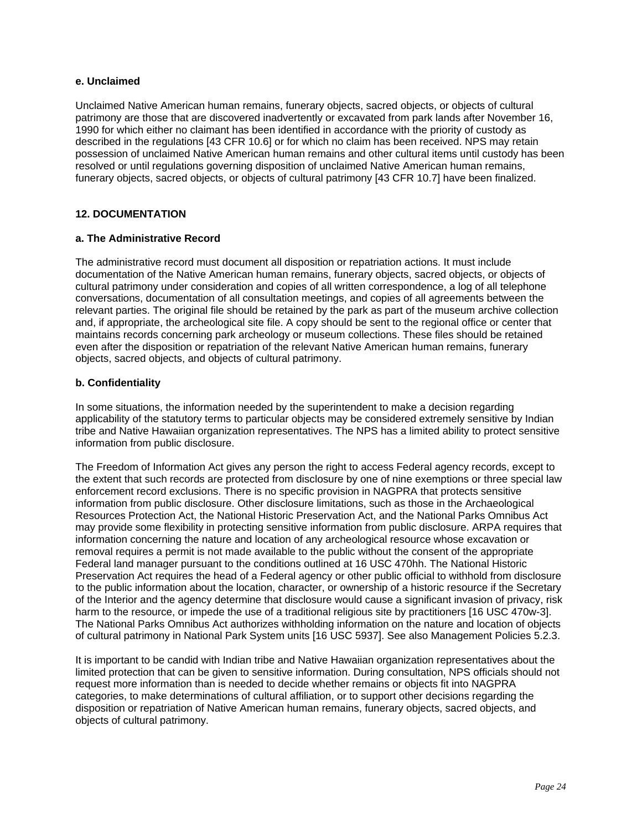#### <span id="page-25-0"></span>**e. Unclaimed**

Unclaimed Native American human remains, funerary objects, sacred objects, or objects of cultural patrimony are those that are discovered inadvertently or excavated from park lands after November 16, 1990 for which either no claimant has been identified in accordance with the priority of custody as described in the regulations [43 CFR 10.6] or for which no claim has been received. NPS may retain possession of unclaimed Native American human remains and other cultural items until custody has been resolved or until regulations governing disposition of unclaimed Native American human remains, funerary objects, sacred objects, or objects of cultural patrimony [43 CFR 10.7] have been finalized.

# **12. DOCUMENTATION**

# **a. The Administrative Record**

The administrative record must document all disposition or repatriation actions. It must include documentation of the Native American human remains, funerary objects, sacred objects, or objects of cultural patrimony under consideration and copies of all written correspondence, a log of all telephone conversations, documentation of all consultation meetings, and copies of all agreements between the relevant parties. The original file should be retained by the park as part of the museum archive collection and, if appropriate, the archeological site file. A copy should be sent to the regional office or center that maintains records concerning park archeology or museum collections. These files should be retained even after the disposition or repatriation of the relevant Native American human remains, funerary objects, sacred objects, and objects of cultural patrimony.

# **b. Confidentiality**

In some situations, the information needed by the superintendent to make a decision regarding applicability of the statutory terms to particular objects may be considered extremely sensitive by Indian tribe and Native Hawaiian organization representatives. The NPS has a limited ability to protect sensitive information from public disclosure.

The [Freedom of Information Act](http://www.usdoj.gov/04foia/foiastat.htm) gives any person the right to access Federal agency records, except to the extent that such records are protected from disclosure by one of nine exemptions or three special law enforcement record exclusions. There is no specific provision in NAGPRA that protects sensitive [information from public disclosure. Other disclosure limitations, such as those in the Archaeological](http://www.cr.nps.gov/local-law/FHPL_ArchRsrcsProt.pdf) Resources Protection Act, the [National Historic Preservation Act,](http://www.cr.nps.gov/local-law/FHPL_HistPrsrvt.pdf) and the [National Parks Omnibus Act](http://www.georgewright.org/title2text.pdf)  may provide some flexibility in protecting sensitive information from public disclosure. [ARPA](http://www.cr.nps.gov/local-law/FHPL_ArchRsrcsProt.pdf) requires that information concerning the nature and location of any archeological resource whose excavation or removal requires a permit is not made available to the public without the consent of the appropriate [Federal land manager pursuant to the conditions outlined at 16 USC 470hh. The National Historic](http://www.cr.nps.gov/local-law/FHPL_HistPrsrvt.pdf)  Preservation Act requires the head of a Federal agency or other public official to withhold from disclosure to the public information about the location, character, or ownership of a historic resource if the Secretary of the Interior and the agency determine that disclosure would cause a significant invasion of privacy, risk harm to the resource, or impede the use of a traditional religious site by practitioners [16 USC 470w-3]. The [National Parks Omnibus Act](http://www.georgewright.org/title2text.pdf) authorizes withholding information on the nature and location of objects of cultural patrimony in National Park System units [16 USC 5937]. See also [Management Policies](http://www.nps.gov/policy/mp/policies.pdf) 5.2.3.

It is important to be candid with Indian tribe and Native Hawaiian organization representatives about the limited protection that can be given to sensitive information. During consultation, NPS officials should not request more information than is needed to decide whether remains or objects fit into NAGPRA categories, to make determinations of cultural affiliation, or to support other decisions regarding the disposition or repatriation of Native American human remains, funerary objects, sacred objects, and objects of cultural patrimony.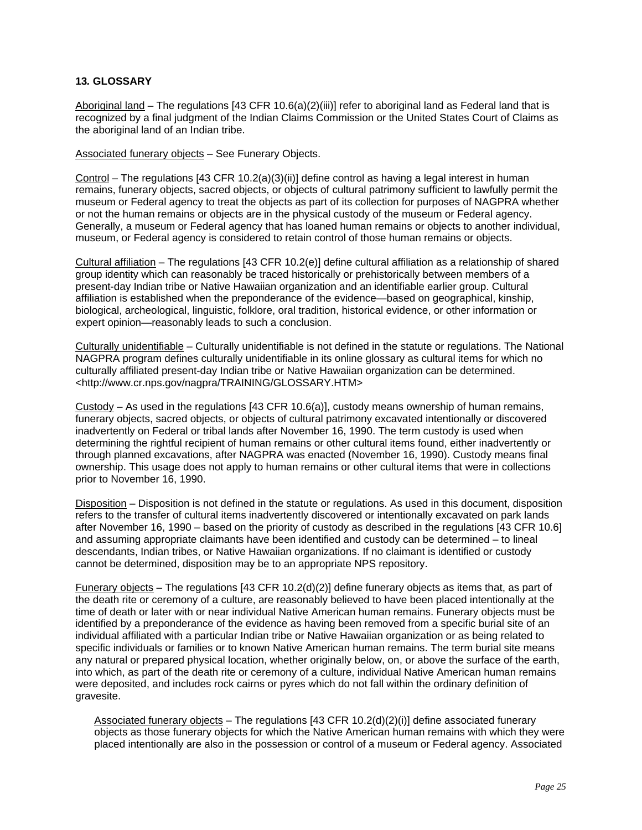# <span id="page-26-0"></span>**13***.* **GLOSSARY**

Aboriginal land – The regulations [43 CFR 10.6(a)(2)(iii)] refer to aboriginal land as Federal land that is recognized by a final judgment of the Indian Claims Commission or the United States Court of Claims as the aboriginal land of an Indian tribe.

Associated funerary objects – See Funerary Objects.

Control – The regulations [43 CFR 10.2(a)(3)(ii)] define control as having a legal interest in human remains, funerary objects, sacred objects, or objects of cultural patrimony sufficient to lawfully permit the museum or Federal agency to treat the objects as part of its collection for purposes of NAGPRA whether or not the human remains or objects are in the physical custody of the museum or Federal agency. Generally, a museum or Federal agency that has loaned human remains or objects to another individual, museum, or Federal agency is considered to retain control of those human remains or objects.

Cultural affiliation – The regulations [43 CFR 10.2(e)] define cultural affiliation as a relationship of shared group identity which can reasonably be traced historically or prehistorically between members of a present-day Indian tribe or Native Hawaiian organization and an identifiable earlier group. Cultural affiliation is established when the preponderance of the evidence—based on geographical, kinship, biological, archeological, linguistic, folklore, oral tradition, historical evidence, or other information or expert opinion—reasonably leads to such a conclusion.

Culturally unidentifiable – Culturally unidentifiable is not defined in the statute or regulations. The National NAGPRA program defines culturally unidentifiable in its online glossary as cultural items for which no culturally affiliated present-day Indian tribe or Native Hawaiian organization can be determined. <http://www.cr.nps.gov/nagpra/TRAINING/GLOSSARY.HTM>

Custody – As used in the regulations [43 CFR 10.6(a)], custody means ownership of human remains, funerary objects, sacred objects, or objects of cultural patrimony excavated intentionally or discovered inadvertently on Federal or tribal lands after November 16, 1990. The term custody is used when determining the rightful recipient of human remains or other cultural items found, either inadvertently or through planned excavations, after NAGPRA was enacted (November 16, 1990). Custody means final ownership. This usage does not apply to human remains or other cultural items that were in collections prior to November 16, 1990.

Disposition – Disposition is not defined in the statute or regulations. As used in this document, disposition refers to the transfer of cultural items inadvertently discovered or intentionally excavated on park lands after November 16, 1990 – based on the priority of custody as described in the regulations [43 CFR 10.6] and assuming appropriate claimants have been identified and custody can be determined – to lineal descendants, Indian tribes, or Native Hawaiian organizations. If no claimant is identified or custody cannot be determined, disposition may be to an appropriate NPS repository.

Funerary objects – The regulations [43 CFR 10.2(d)(2)] define funerary objects as items that, as part of the death rite or ceremony of a culture, are reasonably believed to have been placed intentionally at the time of death or later with or near individual Native American human remains. Funerary objects must be identified by a preponderance of the evidence as having been removed from a specific burial site of an individual affiliated with a particular Indian tribe or Native Hawaiian organization or as being related to specific individuals or families or to known Native American human remains. The term burial site means any natural or prepared physical location, whether originally below, on, or above the surface of the earth, into which, as part of the death rite or ceremony of a culture, individual Native American human remains were deposited, and includes rock cairns or pyres which do not fall within the ordinary definition of gravesite.

Associated funerary objects - The regulations  $[43 \text{ CFR } 10.2(d)(2)(i)]$  define associated funerary objects as those funerary objects for which the Native American human remains with which they were placed intentionally are also in the possession or control of a museum or Federal agency. Associated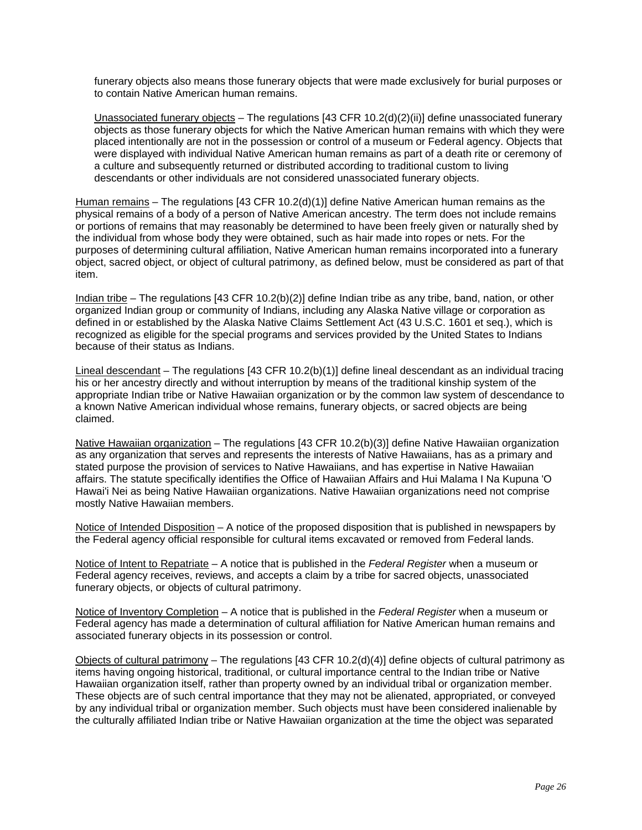funerary objects also means those funerary objects that were made exclusively for burial purposes or to contain Native American human remains.

Unassociated funerary objects – The regulations [43 CFR 10.2(d)(2)(ii)] define unassociated funerary objects as those funerary objects for which the Native American human remains with which they were placed intentionally are not in the possession or control of a museum or Federal agency. Objects that were displayed with individual Native American human remains as part of a death rite or ceremony of a culture and subsequently returned or distributed according to traditional custom to living descendants or other individuals are not considered unassociated funerary objects.

Human remains – The regulations [43 CFR 10.2(d)(1)] define Native American human remains as the physical remains of a body of a person of Native American ancestry. The term does not include remains or portions of remains that may reasonably be determined to have been freely given or naturally shed by the individual from whose body they were obtained, such as hair made into ropes or nets. For the purposes of determining cultural affiliation, Native American human remains incorporated into a funerary object, sacred object, or object of cultural patrimony, as defined below, must be considered as part of that item.

Indian tribe – The regulations [43 CFR 10.2(b)(2)] define Indian tribe as any tribe, band, nation, or other organized Indian group or community of Indians, including any Alaska Native village or corporation as defined in or established by the Alaska Native Claims Settlement Act (43 U.S.C. 1601 et seq.), which is recognized as eligible for the special programs and services provided by the United States to Indians because of their status as Indians.

Lineal descendant – The regulations [43 CFR 10.2(b)(1)] define lineal descendant as an individual tracing his or her ancestry directly and without interruption by means of the traditional kinship system of the appropriate Indian tribe or Native Hawaiian organization or by the common law system of descendance to a known Native American individual whose remains, funerary objects, or sacred objects are being claimed.

Native Hawaiian organization – The regulations [43 CFR 10.2(b)(3)] define Native Hawaiian organization as any organization that serves and represents the interests of Native Hawaiians, has as a primary and stated purpose the provision of services to Native Hawaiians, and has expertise in Native Hawaiian affairs. The statute specifically identifies the Office of Hawaiian Affairs and Hui Malama I Na Kupuna 'O Hawai'i Nei as being Native Hawaiian organizations. Native Hawaiian organizations need not comprise mostly Native Hawaiian members.

Notice of Intended Disposition – A notice of the proposed disposition that is published in newspapers by the Federal agency official responsible for cultural items excavated or removed from Federal lands.

Notice of Intent to Repatriate – A notice that is published in the *Federal Register* when a museum or Federal agency receives, reviews, and accepts a claim by a tribe for sacred objects, unassociated funerary objects, or objects of cultural patrimony.

Notice of Inventory Completion – A notice that is published in the *Federal Register* when a museum or Federal agency has made a determination of cultural affiliation for Native American human remains and associated funerary objects in its possession or control.

Objects of cultural patrimony – The regulations [43 CFR 10.2(d)(4)] define objects of cultural patrimony as items having ongoing historical, traditional, or cultural importance central to the Indian tribe or Native Hawaiian organization itself, rather than property owned by an individual tribal or organization member. These objects are of such central importance that they may not be alienated, appropriated, or conveyed by any individual tribal or organization member. Such objects must have been considered inalienable by the culturally affiliated Indian tribe or Native Hawaiian organization at the time the object was separated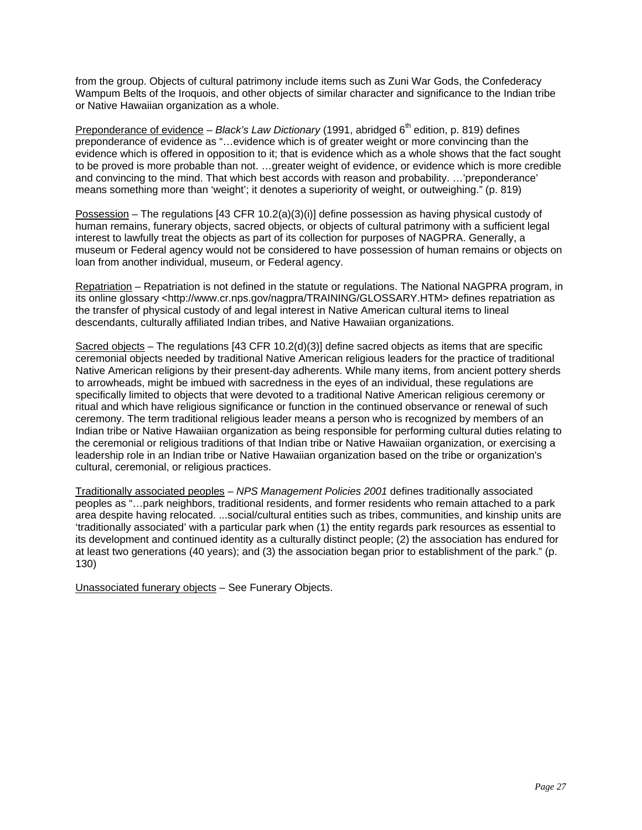from the group. Objects of cultural patrimony include items such as Zuni War Gods, the Confederacy Wampum Belts of the Iroquois, and other objects of similar character and significance to the Indian tribe or Native Hawaiian organization as a whole.

Preponderance of evidence – *Black's Law Dictionary* (1991, abridged 6<sup>th</sup> edition, p. 819) defines preponderance of evidence as "…evidence which is of greater weight or more convincing than the evidence which is offered in opposition to it; that is evidence which as a whole shows that the fact sought to be proved is more probable than not. …greater weight of evidence, or evidence which is more credible and convincing to the mind. That which best accords with reason and probability. …'preponderance' means something more than 'weight'; it denotes a superiority of weight, or outweighing." (p. 819)

Possession – The regulations  $[43 \text{ CFR } 10.2(a)(3)(i)]$  define possession as having physical custody of human remains, funerary objects, sacred objects, or objects of cultural patrimony with a sufficient legal interest to lawfully treat the objects as part of its collection for purposes of NAGPRA. Generally, a museum or Federal agency would not be considered to have possession of human remains or objects on loan from another individual, museum, or Federal agency.

Repatriation – Repatriation is not defined in the statute or regulations. The National NAGPRA program, in its online glossary <http://www.cr.nps.gov/nagpra/TRAINING/GLOSSARY.HTM> defines repatriation as the transfer of physical custody of and legal interest in Native American cultural items to lineal descendants, culturally affiliated Indian tribes, and Native Hawaiian organizations.

Sacred objects – The regulations [43 CFR 10.2(d)(3)] define sacred objects as items that are specific ceremonial objects needed by traditional Native American religious leaders for the practice of traditional Native American religions by their present-day adherents. While many items, from ancient pottery sherds to arrowheads, might be imbued with sacredness in the eyes of an individual, these regulations are specifically limited to objects that were devoted to a traditional Native American religious ceremony or ritual and which have religious significance or function in the continued observance or renewal of such ceremony. The term traditional religious leader means a person who is recognized by members of an Indian tribe or Native Hawaiian organization as being responsible for performing cultural duties relating to the ceremonial or religious traditions of that Indian tribe or Native Hawaiian organization, or exercising a leadership role in an Indian tribe or Native Hawaiian organization based on the tribe or organization's cultural, ceremonial, or religious practices.

Traditionally associated peoples – *[NPS Management Policies 2001](http://www.nps.gov/policy/mp/policies.pdf)* defines traditionally associated peoples as "…park neighbors, traditional residents, and former residents who remain attached to a park area despite having relocated. ...social/cultural entities such as tribes, communities, and kinship units are 'traditionally associated' with a particular park when (1) the entity regards park resources as essential to its development and continued identity as a culturally distinct people; (2) the association has endured for at least two generations (40 years); and (3) the association began prior to establishment of the park." (p. 130)

Unassociated funerary objects – See [Funerary Objects.](#page-26-0)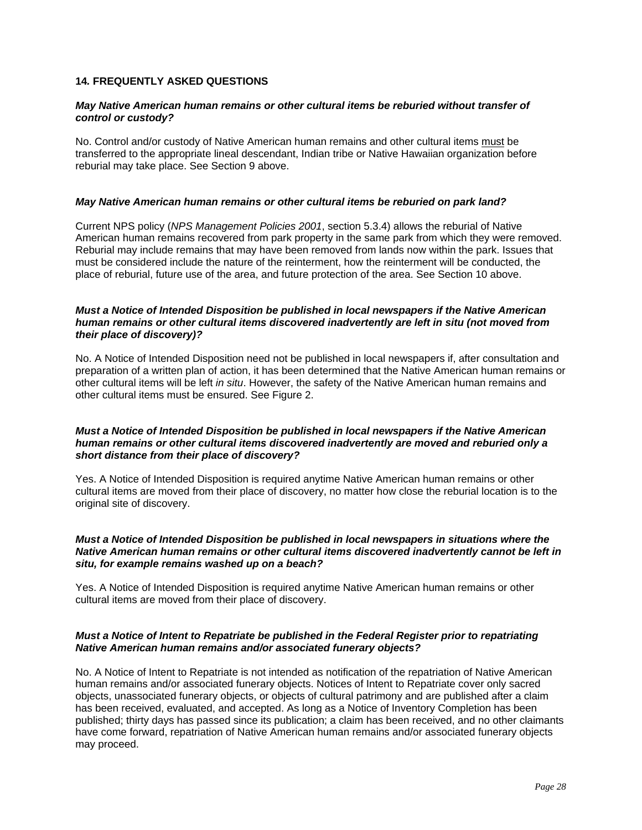# <span id="page-29-0"></span>**14***.* **FREQUENTLY ASKED QUESTIONS**

#### *May Native American human remains or other cultural items be reburied without transfer of control or custody?*

No. Control and/or custody of Native American human remains and other cultural items must be transferred to the appropriate lineal descendant, Indian tribe or Native Hawaiian organization before reburial may take place. See [Section 9](#page-21-0) above.

#### *May Native American human remains or other cultural items be reburied on park land?*

Current NPS policy (*[NPS Management Policies 2001](http://www.nps.gov/policy/mp/policies.pdf)*, section 5.3.4) allows the reburial of Native American human remains recovered from park property in the same park from which they were removed. Reburial may include remains that may have been removed from lands now within the park. Issues that must be considered include the nature of the reinterment, how the reinterment will be conducted, the place of reburial, future use of the area, and future protection of the area. See [Section 10](#page-21-0) above.

#### *Must a Notice of Intended Disposition be published in local newspapers if the Native American human remains or other cultural items discovered inadvertently are left in situ (not moved from their place of discovery)?*

No. A Notice of Intended Disposition need not be published in local newspapers if, after consultation and preparation of a written plan of action, it has been determined that the Native American human remains or other cultural items will be left *in situ*. However, the safety of the Native American human remains and other cultural items must be ensured. See [Figure 2.](#page-6-0)

#### *Must a Notice of Intended Disposition be published in local newspapers if the Native American human remains or other cultural items discovered inadvertently are moved and reburied only a short distance from their place of discovery?*

Yes. A Notice of Intended Disposition is required anytime Native American human remains or other cultural items are moved from their place of discovery, no matter how close the reburial location is to the original site of discovery.

#### *Must a Notice of Intended Disposition be published in local newspapers in situations where the Native American human remains or other cultural items discovered inadvertently cannot be left in situ, for example remains washed up on a beach?*

Yes. A Notice of Intended Disposition is required anytime Native American human remains or other cultural items are moved from their place of discovery.

#### *Must a Notice of Intent to Repatriate be published in the Federal Register prior to repatriating Native American human remains and/or associated funerary objects?*

No. A Notice of Intent to Repatriate is not intended as notification of the repatriation of Native American human remains and/or associated funerary objects. Notices of Intent to Repatriate cover only sacred objects, unassociated funerary objects, or objects of cultural patrimony and are published after a claim has been received, evaluated, and accepted. As long as a Notice of Inventory Completion has been published; thirty days has passed since its publication; a claim has been received, and no other claimants have come forward, repatriation of Native American human remains and/or associated funerary objects may proceed.